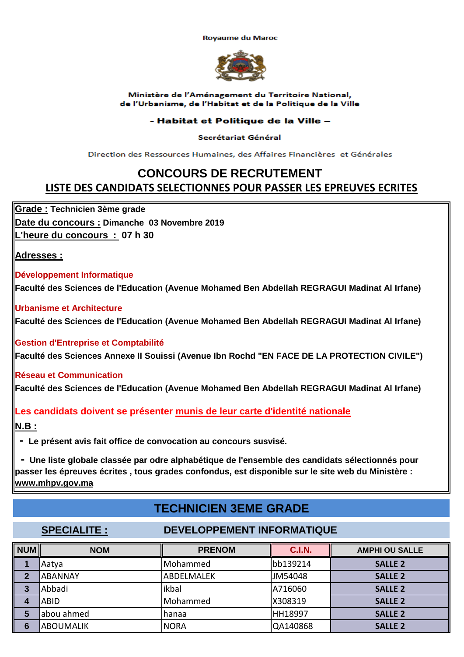**Rovaume du Maroc** 



### Ministère de l'Aménagement du Territoire National, de l'Urbanisme, de l'Habitat et de la Politique de la Ville

## - Habitat et Politique de la Ville -

### Secrétariat Général

Direction des Ressources Humaines, des Affaires Financières et Générales

# **CONCOURS DE RECRUTEMENT LISTE DES CANDIDATS SELECTIONNES POUR PASSER LES EPREUVES ECRITES**

**Date du concours : Dimanche 03 Novembre 2019 L'heure du concours : 07 h 30 Grade : Technicien 3ème grade**

**Adresses :**

## **Développement Informatique**

**Faculté des Sciences de l'Education (Avenue Mohamed Ben Abdellah REGRAGUI Madinat Al Irfane)**

**Urbanisme et Architecture**

**Faculté des Sciences de l'Education (Avenue Mohamed Ben Abdellah REGRAGUI Madinat Al Irfane)**

**Gestion d'Entreprise et Comptabilité**

**Faculté des Sciences Annexe II Souissi (Avenue Ibn Rochd "EN FACE DE LA PROTECTION CIVILE")**

## **Réseau et Communication**

**Faculté des Sciences de l'Education (Avenue Mohamed Ben Abdellah REGRAGUI Madinat Al Irfane)**

## **Les candidats doivent se présenter munis de leur carte d'identité nationale**

**N.B :**

 **- Le présent avis fait office de convocation au concours susvisé.**

 **- Une liste globale classée par odre alphabétique de l'ensemble des candidats sélectionnés pour passer les épreuves écrites , tous grades confondus, est disponible sur le site web du Ministère : www.mhpv.gov.ma**

# **TECHNICIEN 3EME GRADE**

## **SPECIALITE : DEVELOPPEMENT INFORMATIQUE**

| <b>NUM</b> | <b>NOM</b>       | <b>PRENOM</b> | <b>C.I.N.</b> | <b>AMPHI OU SALLE</b> |
|------------|------------------|---------------|---------------|-----------------------|
|            | Aatya            | Mohammed      | bb139214      | <b>SALLE 2</b>        |
| 2          | <b>ABANNAY</b>   | ABDELMALEK    | JM54048       | <b>SALLE 2</b>        |
| 3          | Abbadi           | ikbal         | A716060       | <b>SALLE 2</b>        |
|            | <b>ABID</b>      | Mohammed      | X308319       | <b>SALLE 2</b>        |
| 5          | abou ahmed       | Ihanaa        | HH18997       | <b>SALLE 2</b>        |
| 6          | <b>ABOUMALIK</b> | <b>NORA</b>   | QA140868      | <b>SALLE 2</b>        |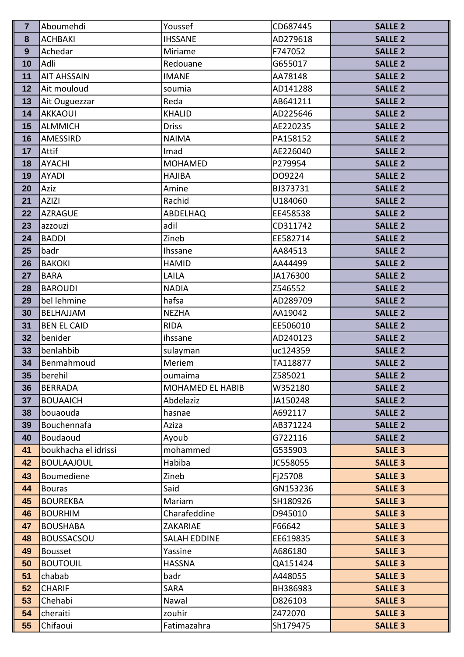| $\overline{7}$ | Aboumehdi                           | Youssef                        | CD687445            | <b>SALLE 2</b>                   |
|----------------|-------------------------------------|--------------------------------|---------------------|----------------------------------|
| 8              | <b>ACHBAKI</b>                      | <b>IHSSANE</b>                 | AD279618            | <b>SALLE 2</b>                   |
| 9              | Achedar                             | Miriame                        | F747052             | <b>SALLE 2</b>                   |
| 10             | Adli                                | Redouane                       | G655017             | <b>SALLE 2</b>                   |
| 11             | <b>AIT AHSSAIN</b>                  | <b>IMANE</b>                   | AA78148             | <b>SALLE 2</b>                   |
| 12             | Ait mouloud                         | soumia                         | AD141288            | <b>SALLE 2</b>                   |
| 13             | Ait Ouguezzar                       | Reda                           | AB641211            | <b>SALLE 2</b>                   |
| 14             | <b>AKKAOUI</b>                      | <b>KHALID</b>                  | AD225646            | <b>SALLE 2</b>                   |
| 15             | <b>ALMMICH</b>                      | <b>Driss</b>                   | AE220235            | <b>SALLE 2</b>                   |
| 16             | AMESSIRD                            | <b>NAIMA</b>                   | PA158152            | <b>SALLE 2</b>                   |
| 17             | Attif                               | Imad                           | AE226040            | <b>SALLE 2</b>                   |
| 18             | <b>AYACHI</b>                       | <b>MOHAMED</b>                 | P279954             | <b>SALLE 2</b>                   |
| 19             | <b>AYADI</b>                        | <b>HAJIBA</b>                  | DO9224              | <b>SALLE 2</b>                   |
| 20             | Aziz                                | Amine                          | BJ373731            | <b>SALLE 2</b>                   |
| 21             | <b>AZIZI</b>                        | Rachid                         | U184060             | <b>SALLE 2</b>                   |
| 22             | <b>AZRAGUE</b>                      | ABDELHAQ                       | EE458538            | <b>SALLE 2</b>                   |
| 23             | azzouzi                             | adil                           | CD311742            | <b>SALLE 2</b>                   |
| 24             | <b>BADDI</b>                        | Zineb                          | EE582714            | <b>SALLE 2</b>                   |
| 25             | badr                                | Ihssane                        | AA84513             | <b>SALLE 2</b>                   |
| 26             | <b>BAKOKI</b>                       | <b>HAMID</b>                   | AA44499             | <b>SALLE 2</b>                   |
| 27             | <b>BARA</b>                         | LAILA                          | JA176300            | <b>SALLE 2</b>                   |
| 28             | <b>BAROUDI</b>                      | <b>NADIA</b>                   | Z546552             | <b>SALLE 2</b>                   |
| 29             | bel lehmine                         | hafsa                          | AD289709            | <b>SALLE 2</b>                   |
| 30             | BELHAJJAM                           | <b>NEZHA</b>                   | AA19042             | <b>SALLE 2</b>                   |
| 31             | <b>BEN EL CAID</b>                  | <b>RIDA</b>                    | EE506010            | <b>SALLE 2</b>                   |
| 32             | benider                             | ihssane                        | AD240123            | <b>SALLE 2</b>                   |
| 33             | benlahbib                           | sulayman                       | uc124359            | <b>SALLE 2</b>                   |
| 34             | Benmahmoud                          | Meriem                         | TA118877            | <b>SALLE 2</b>                   |
| 35             | berehil                             | oumaima                        | Z585021             | <b>SALLE 2</b>                   |
| 36             | <b>BERRADA</b>                      | MOHAMED EL HABIB               | W352180             | <b>SALLE 2</b>                   |
| 37             | <b>BOUAAICH</b>                     | Abdelaziz                      | JA150248            | <b>SALLE 2</b>                   |
| 38             | bouaouda                            | hasnae                         | A692117             | <b>SALLE 2</b>                   |
| 39             | Bouchennafa                         | Aziza                          | AB371224            | <b>SALLE 2</b>                   |
| 40             | Boudaoud                            | Ayoub                          | G722116             | <b>SALLE 2</b>                   |
| 41             | boukhacha el idrissi                | mohammed                       | G535903             | <b>SALLE 3</b>                   |
| 42             | <b>BOULAAJOUL</b>                   | Habiba                         | JC558055            | <b>SALLE 3</b>                   |
| 43             | Boumediene                          | Zineb                          | Fj25708             | <b>SALLE 3</b>                   |
| 44             | <b>Bouras</b>                       | Said                           | GN153236            | <b>SALLE 3</b>                   |
| 45             | <b>BOUREKBA</b>                     | Mariam                         | SH180926            | <b>SALLE 3</b>                   |
| 46             | <b>BOURHIM</b>                      | Charafeddine                   | D945010             | <b>SALLE 3</b>                   |
| 47             | <b>BOUSHABA</b>                     | ZAKARIAE                       | F66642              | <b>SALLE 3</b>                   |
| 48<br>49       | <b>BOUSSACSOU</b><br><b>Bousset</b> | <b>SALAH EDDINE</b><br>Yassine | EE619835<br>A686180 | <b>SALLE 3</b><br><b>SALLE 3</b> |
| 50             | <b>BOUTOUIL</b>                     | <b>HASSNA</b>                  | QA151424            | <b>SALLE 3</b>                   |
| 51             | chabab                              | badr                           | A448055             | <b>SALLE 3</b>                   |
| 52             | <b>CHARIF</b>                       | <b>SARA</b>                    | BH386983            | <b>SALLE 3</b>                   |
| 53             | Chehabi                             | Nawal                          | D826103             | <b>SALLE 3</b>                   |
| 54             | cheraiti                            | zouhir                         | Z472070             | <b>SALLE 3</b>                   |
| 55             | Chifaoui                            | Fatimazahra                    | Sh179475            | <b>SALLE 3</b>                   |
|                |                                     |                                |                     |                                  |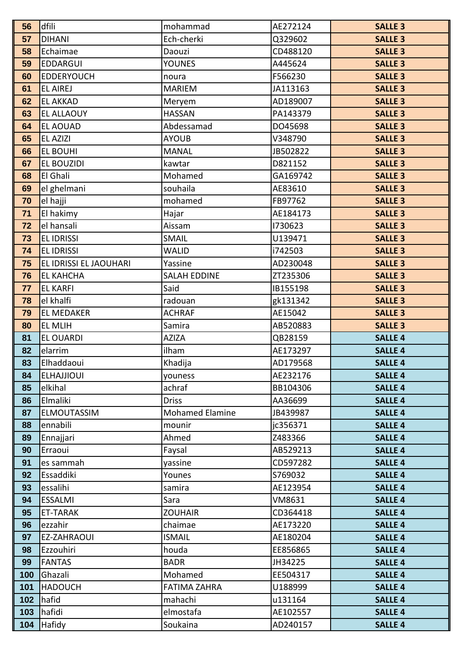| 56       | dfili                  | mohammad               | AE272124             | <b>SALLE 3</b>                   |
|----------|------------------------|------------------------|----------------------|----------------------------------|
| 57       | <b>DIHANI</b>          | Ech-cherki             | Q329602              | <b>SALLE 3</b>                   |
| 58       | Echaimae               | Daouzi                 | CD488120             | <b>SALLE 3</b>                   |
| 59       | <b>EDDARGUI</b>        | <b>YOUNES</b>          | A445624              | <b>SALLE 3</b>                   |
| 60       | <b>EDDERYOUCH</b>      | noura                  | F566230              | <b>SALLE 3</b>                   |
| 61       | <b>EL AIREJ</b>        | <b>MARIEM</b>          | JA113163             | <b>SALLE 3</b>                   |
| 62       | <b>EL AKKAD</b>        | Meryem                 | AD189007             | <b>SALLE 3</b>                   |
| 63       | <b>EL ALLAOUY</b>      | <b>HASSAN</b>          | PA143379             | <b>SALLE 3</b>                   |
| 64       | <b>EL AOUAD</b>        | Abdessamad             | DO45698              | <b>SALLE 3</b>                   |
| 65       | EL AZIZI               | <b>AYOUB</b>           | V348790              | <b>SALLE 3</b>                   |
| 66       | <b>EL BOUHI</b>        | <b>MANAL</b>           | JB502822             | <b>SALLE 3</b>                   |
| 67       | <b>EL BOUZIDI</b>      | kawtar                 | D821152              | <b>SALLE 3</b>                   |
| 68       | El Ghali               | Mohamed                | GA169742             | <b>SALLE 3</b>                   |
| 69       | el ghelmani            | souhaila               | AE83610              | <b>SALLE 3</b>                   |
| 70       | el hajji               | mohamed                | FB97762              | <b>SALLE 3</b>                   |
| 71       | El hakimy              | Hajar                  | AE184173             | <b>SALLE 3</b>                   |
| 72       | el hansali             | Aissam                 | 1730623              | <b>SALLE 3</b>                   |
| 73       | <b>EL IDRISSI</b>      | <b>SMAIL</b>           | U139471              | <b>SALLE 3</b>                   |
| 74       | <b>EL IDRISSI</b>      | <b>WALID</b>           | i742503              | <b>SALLE 3</b>                   |
| 75       | EL IDRISSI EL JAOUHARI | Yassine                | AD230048             | <b>SALLE 3</b>                   |
| 76       | <b>EL KAHCHA</b>       | <b>SALAH EDDINE</b>    | ZT235306             | <b>SALLE 3</b>                   |
| 77       | <b>EL KARFI</b>        | Said                   | IB155198             | <b>SALLE 3</b>                   |
| 78       | el khalfi              | radouan                | gk131342             | <b>SALLE 3</b>                   |
| 79       | <b>EL MEDAKER</b>      | <b>ACHRAF</b>          | AE15042              | <b>SALLE 3</b>                   |
| 80       | <b>EL MLIH</b>         | Samira                 | AB520883             | <b>SALLE 3</b>                   |
| 81       | <b>EL OUARDI</b>       | <b>AZIZA</b>           | QB28159              | <b>SALLE 4</b>                   |
| 82       | elarrim                | ilham                  | AE173297             | <b>SALLE 4</b>                   |
| 83       | Elhaddaoui             | Khadija                | AD179568             | <b>SALLE 4</b>                   |
| 84       | <b>ELHAJJIOUI</b>      | youness                | AE232176             | <b>SALLE 4</b>                   |
| 85       | elkihal                | achraf                 | BB104306             | <b>SALLE 4</b>                   |
| 86       | Elmaliki               | <b>Driss</b>           | AA36699              | <b>SALLE 4</b>                   |
| 87       | <b>ELMOUTASSIM</b>     | <b>Mohamed Elamine</b> | JB439987             | <b>SALLE 4</b>                   |
| 88       | ennabili               | mounir                 | jc356371             | <b>SALLE 4</b>                   |
| 89       | Ennajjari              | Ahmed                  | Z483366              | <b>SALLE 4</b>                   |
| 90<br>91 | Erraoui<br>es sammah   | Faysal<br>yassine      | AB529213<br>CD597282 | <b>SALLE 4</b><br><b>SALLE 4</b> |
| 92       | Essaddiki              | Younes                 | S769032              | <b>SALLE 4</b>                   |
| 93       | essalihi               | samira                 | AE123954             | <b>SALLE 4</b>                   |
| 94       | <b>ESSALMI</b>         | Sara                   | VM8631               | <b>SALLE 4</b>                   |
| 95       | <b>ET-TARAK</b>        | <b>ZOUHAIR</b>         | CD364418             | <b>SALLE 4</b>                   |
| 96       | ezzahir                | chaimae                | AE173220             | <b>SALLE 4</b>                   |
| 97       | EZ-ZAHRAOUI            | <b>ISMAIL</b>          | AE180204             | <b>SALLE 4</b>                   |
| 98       | Ezzouhiri              | houda                  | EE856865             | <b>SALLE 4</b>                   |
| 99       | <b>FANTAS</b>          | <b>BADR</b>            | JH34225              | <b>SALLE 4</b>                   |
| 100      | Ghazali                | Mohamed                | EE504317             | <b>SALLE 4</b>                   |
| 101      | <b>HADOUCH</b>         | <b>FATIMA ZAHRA</b>    | U188999              | <b>SALLE 4</b>                   |
| 102      | hafid                  | mahachi                | u131164              | <b>SALLE 4</b>                   |
| 103      | hafidi                 | elmostafa              | AE102557             | <b>SALLE 4</b>                   |
| 104      | Hafidy                 | Soukaina               | AD240157             | <b>SALLE 4</b>                   |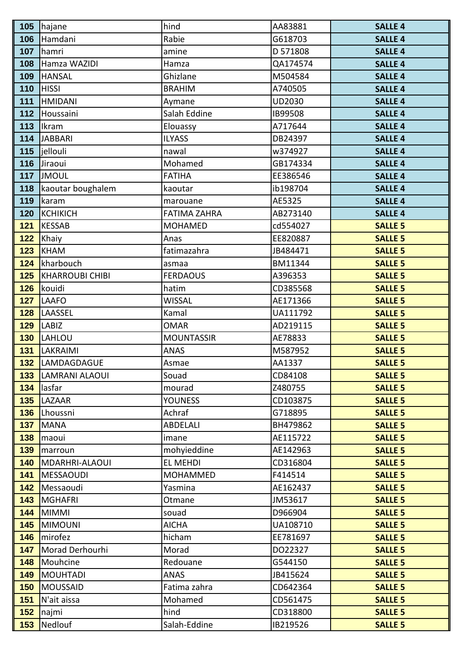| 105 | hajane                 | hind                | AA83881  | <b>SALLE 4</b> |
|-----|------------------------|---------------------|----------|----------------|
| 106 | Hamdani                | Rabie               | G618703  | <b>SALLE 4</b> |
| 107 | hamri                  | amine               | D 571808 | <b>SALLE 4</b> |
| 108 | Hamza WAZIDI           | Hamza               | QA174574 | <b>SALLE 4</b> |
| 109 | <b>HANSAL</b>          | Ghizlane            | M504584  | <b>SALLE 4</b> |
| 110 | <b>HISSI</b>           | <b>BRAHIM</b>       | A740505  | <b>SALLE 4</b> |
| 111 | <b>HMIDANI</b>         | Aymane              | UD2030   | <b>SALLE 4</b> |
| 112 | Houssaini              | Salah Eddine        | IB99508  | <b>SALLE 4</b> |
| 113 | Ikram                  | Elouassy            | A717644  | <b>SALLE 4</b> |
| 114 | <b>JABBARI</b>         | <b>ILYASS</b>       | DB24397  | <b>SALLE 4</b> |
| 115 | jellouli               | nawal               | w374927  | <b>SALLE 4</b> |
| 116 | Jiraoui                | Mohamed             | GB174334 | <b>SALLE 4</b> |
| 117 | <b>JMOUL</b>           | <b>FATIHA</b>       | EE386546 | <b>SALLE 4</b> |
| 118 | kaoutar boughalem      | kaoutar             | ib198704 | <b>SALLE 4</b> |
| 119 | karam                  | marouane            | AE5325   | <b>SALLE 4</b> |
| 120 | <b>KCHIKICH</b>        | <b>FATIMA ZAHRA</b> | AB273140 | <b>SALLE 4</b> |
| 121 | <b>KESSAB</b>          | <b>MOHAMED</b>      | cd554027 | <b>SALLE 5</b> |
| 122 | Khaiy                  | Anas                | EE820887 | <b>SALLE 5</b> |
| 123 | <b>KHAM</b>            | fatimazahra         | JB484471 | <b>SALLE 5</b> |
| 124 | kharbouch              | asmaa               | BM11344  | <b>SALLE 5</b> |
| 125 | <b>KHARROUBI CHIBI</b> | <b>FERDAOUS</b>     | A396353  | <b>SALLE 5</b> |
| 126 | kouidi                 | hatim               | CD385568 | <b>SALLE 5</b> |
| 127 | <b>LAAFO</b>           | <b>WISSAL</b>       | AE171366 | <b>SALLE 5</b> |
| 128 | LAASSEL                | Kamal               | UA111792 | <b>SALLE 5</b> |
| 129 | <b>LABIZ</b>           | <b>OMAR</b>         | AD219115 | <b>SALLE 5</b> |
| 130 | LAHLOU                 | <b>MOUNTASSIR</b>   | AE78833  | <b>SALLE 5</b> |
| 131 | LAKRAIMI               | <b>ANAS</b>         | M587952  | <b>SALLE 5</b> |
| 132 | LAMDAGDAGUE            | Asmae               | AA1337   | <b>SALLE 5</b> |
| 133 | <b>LAMRANI ALAOUI</b>  | Souad               | CD84108  | <b>SALLE 5</b> |
| 134 | lasfar                 | mourad              | Z480755  | <b>SALLE 5</b> |
| 135 | LAZAAR                 | <b>YOUNESS</b>      | CD103875 | <b>SALLE 5</b> |
| 136 | Lhoussni               | Achraf              | G718895  | <b>SALLE 5</b> |
| 137 | <b>MANA</b>            | ABDELALI            | BH479862 | <b>SALLE 5</b> |
| 138 | maoui                  | imane               | AE115722 | <b>SALLE 5</b> |
| 139 | marroun                | mohyieddine         | AE142963 | <b>SALLE 5</b> |
| 140 | MDARHRI-ALAOUI         | EL MEHDI            | CD316804 | <b>SALLE 5</b> |
| 141 | <b>MESSAOUDI</b>       | <b>MOHAMMED</b>     | F414514  | <b>SALLE 5</b> |
| 142 | Messaoudi              | Yasmina             | AE162437 | <b>SALLE 5</b> |
| 143 | <b>MGHAFRI</b>         | Otmane              | JM53617  | <b>SALLE 5</b> |
| 144 | <b>MIMMI</b>           | souad               | D966904  | <b>SALLE 5</b> |
| 145 | <b>MIMOUNI</b>         | <b>AICHA</b>        | UA108710 | <b>SALLE 5</b> |
| 146 | mirofez                | hicham              | EE781697 | <b>SALLE 5</b> |
| 147 | Morad Derhourhi        | Morad               | DO22327  | <b>SALLE 5</b> |
| 148 | Mouhcine               | Redouane            | G544150  | <b>SALLE 5</b> |
| 149 | <b>MOUHTADI</b>        | <b>ANAS</b>         | JB415624 | <b>SALLE 5</b> |
| 150 | <b>MOUSSAID</b>        | Fatima zahra        | CD642364 | <b>SALLE 5</b> |
| 151 | N'ait aissa            | Mohamed             | CD561475 | <b>SALLE 5</b> |
| 152 | najmi                  | hind                | CD318800 | <b>SALLE 5</b> |
| 153 | Nedlouf                | Salah-Eddine        | IB219526 | <b>SALLE 5</b> |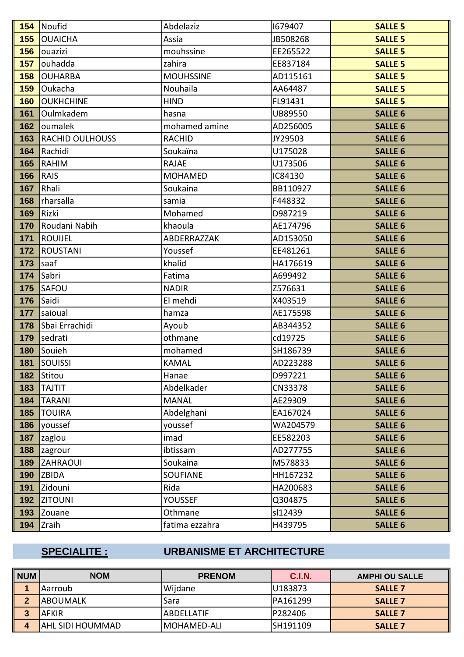|     | 154 Noufid             | Abdelaziz        | 1679407  | <b>SALLE 5</b> |
|-----|------------------------|------------------|----------|----------------|
| 155 | <b>OUAICHA</b>         | Assia            | JB508268 | <b>SALLE 5</b> |
| 156 | ouazizi                | mouhssine        | EE265522 | <b>SALLE 5</b> |
| 157 | ouhadda                | zahira           | EE837184 | <b>SALLE 5</b> |
| 158 | <b>OUHARBA</b>         | <b>MOUHSSINE</b> | AD115161 | <b>SALLE 5</b> |
| 159 | Oukacha                | Nouhaila         | AA64487  | <b>SALLE 5</b> |
| 160 | <b>OUKHCHINE</b>       | <b>HIND</b>      | FL91431  | <b>SALLE 5</b> |
| 161 | Oulmkadem              | hasna            | UB89550  | <b>SALLE 6</b> |
| 162 | oumalek                | mohamed amine    | AD256005 | <b>SALLE 6</b> |
| 163 | <b>RACHID OULHOUSS</b> | <b>RACHID</b>    | JY29503  | <b>SALLE 6</b> |
| 164 | Rachidi                | Soukaïna         | U175028  | <b>SALLE 6</b> |
| 165 | <b>RAHIM</b>           | <b>RAJAE</b>     | U173506  | <b>SALLE 6</b> |
| 166 | <b>RAIS</b>            | <b>MOHAMED</b>   | IC84130  | <b>SALLE 6</b> |
| 167 | Rhali                  | Soukaina         | BB110927 | <b>SALLE 6</b> |
| 168 | rharsalla              | samia            | F448332  | <b>SALLE 6</b> |
| 169 | Rizki                  | Mohamed          | D987219  | <b>SALLE 6</b> |
| 170 | Roudani Nabih          | khaoula          | AE174796 | <b>SALLE 6</b> |
| 171 | <b>ROUIJEL</b>         | ABDERRAZZAK      | AD153050 | <b>SALLE 6</b> |
| 172 | <b>ROUSTANI</b>        | Youssef          | EE481261 | <b>SALLE 6</b> |
| 173 | saaf                   | khalid           | HA176619 | <b>SALLE 6</b> |
| 174 | Sabri                  | Fatima           | A699492  | <b>SALLE 6</b> |
| 175 | SAFOU                  | <b>NADIR</b>     | Z576631  | <b>SALLE 6</b> |
| 176 | Saidi                  | El mehdi         | X403519  | <b>SALLE 6</b> |
| 177 | saioual                | hamza            | AE175598 | <b>SALLE 6</b> |
| 178 | Sbai Errachidi         | Ayoub            | AB344352 | <b>SALLE 6</b> |
| 179 | sedrati                | othmane          | cd19725  | <b>SALLE 6</b> |
| 180 | Souieh                 | mohamed          | SH186739 | <b>SALLE 6</b> |
| 181 | <b>SOUISSI</b>         | <b>KAMAL</b>     | AD223288 | <b>SALLE 6</b> |
| 182 | Stitou                 | Hanae            | D997221  | <b>SALLE 6</b> |
| 183 | <b>TAJTIT</b>          | Abdelkader       | CN33378  | <b>SALLE 6</b> |
| 184 | <b>TARANI</b>          | <b>MANAL</b>     | AE29309  | <b>SALLE 6</b> |
| 185 | <b>TOUIRA</b>          | Abdelghani       | EA167024 | <b>SALLE 6</b> |
| 186 | youssef                | youssef          | WA204579 | <b>SALLE 6</b> |
| 187 | zaglou                 | imad             | EE582203 | <b>SALLE 6</b> |
| 188 | zagrour                | ibtissam         | AD277755 | <b>SALLE 6</b> |
| 189 | <b>ZAHRAOUI</b>        | Soukaina         | M578833  | <b>SALLE 6</b> |
| 190 | ZBIDA                  | <b>SOUFIANE</b>  | HH167232 | <b>SALLE 6</b> |
| 191 | Zidouni                | Rida             | HA200683 | <b>SALLE 6</b> |
| 192 | <b>ZITOUNI</b>         | <b>YOUSSEF</b>   | Q304875  | <b>SALLE 6</b> |
| 193 | Zouane                 | Othmane          | sl12439  | <b>SALLE 6</b> |
| 194 | Zraih                  | fatima ezzahra   | H439795  | <b>SALLE 6</b> |

# **SPECIALITE : URBANISME ET ARCHITECTURE**

| <b>NUM</b> | <b>NOM</b>              | <b>PRENOM</b> | C.I.N.   | <b>AMPHI OU SALLE</b> |
|------------|-------------------------|---------------|----------|-----------------------|
|            | l Aarroub               | Wijdane       | U183873  | <b>SALLE 7</b>        |
| - 2        | IABOUMALK               | 'Sara         | PA161299 | <b>SALLE 7</b>        |
|            | AFKIR                   | IABDELLATIF   | P282406  | <b>SALLE 7</b>        |
|            | <b>AHL SIDI HOUMMAD</b> | IMOHAMED-ALI  | SH191109 | <b>SALLE 7</b>        |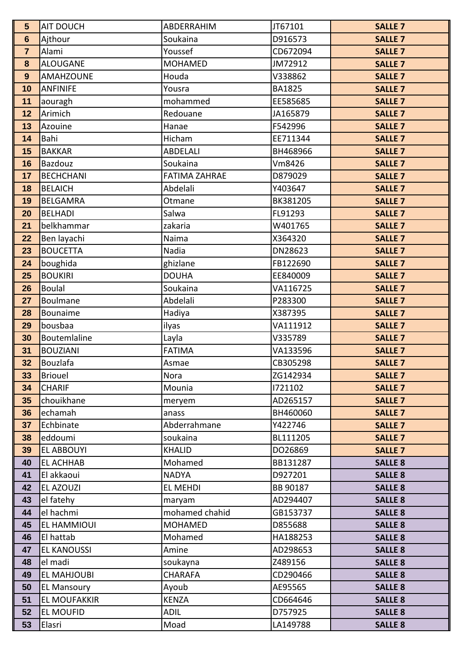| 5              | <b>AIT DOUCH</b>         | ABDERRAHIM                       | JT67101              | <b>SALLE 7</b>                   |
|----------------|--------------------------|----------------------------------|----------------------|----------------------------------|
| $6\phantom{a}$ | Ajthour                  | Soukaina                         | D916573              | <b>SALLE 7</b>                   |
| $\overline{7}$ | Alami                    | Youssef                          | CD672094             | <b>SALLE 7</b>                   |
| 8              | <b>ALOUGANE</b>          | <b>MOHAMED</b>                   | JM72912              | <b>SALLE 7</b>                   |
| 9              | <b>AMAHZOUNE</b>         | Houda                            | V338862              | <b>SALLE 7</b>                   |
| 10             | <b>ANFINIFE</b>          | Yousra                           | <b>BA1825</b>        | <b>SALLE 7</b>                   |
| 11             | aouragh                  | mohammed                         | EE585685             | <b>SALLE 7</b>                   |
| 12             | Arimich                  | Redouane                         | JA165879             | <b>SALLE 7</b>                   |
| 13             | Azouine                  | Hanae                            | F542996              | <b>SALLE 7</b>                   |
| 14             | Bahi                     | Hicham                           | EE711344             | <b>SALLE 7</b>                   |
| 15             | <b>BAKKAR</b>            | <b>ABDELALI</b>                  | BH468966             | <b>SALLE 7</b>                   |
| 16             | <b>Bazdouz</b>           | Soukaina                         | Vm8426               | <b>SALLE 7</b>                   |
| 17             | <b>BECHCHANI</b>         | <b>FATIMA ZAHRAE</b>             | D879029              | <b>SALLE 7</b>                   |
| 18             | <b>BELAICH</b>           | Abdelali                         | Y403647              | <b>SALLE 7</b>                   |
| 19             | <b>BELGAMRA</b>          | Otmane                           | BK381205             | <b>SALLE 7</b>                   |
| 20             | <b>BELHADI</b>           | Salwa                            | FL91293              | <b>SALLE 7</b>                   |
| 21             | belkhammar               | zakaria                          | W401765              | <b>SALLE 7</b>                   |
| 22             | Ben layachi              | Naima                            | X364320              | <b>SALLE 7</b>                   |
| 23             | <b>BOUCETTA</b>          | Nadia                            | DN28623              | <b>SALLE 7</b>                   |
| 24             | boughida                 | ghizlane                         | FB122690             | <b>SALLE 7</b>                   |
| 25             | <b>BOUKIRI</b>           | <b>DOUHA</b>                     | EE840009             | <b>SALLE 7</b>                   |
| 26             | <b>Boulal</b>            | Soukaina                         | VA116725             | <b>SALLE 7</b>                   |
| 27             | Boulmane                 | Abdelali                         | P283300              | <b>SALLE 7</b>                   |
| 28             | Bounaime                 | Hadiya                           | X387395              | <b>SALLE 7</b>                   |
| 29             | bousbaa                  | ilyas                            | VA111912             | <b>SALLE 7</b>                   |
| 30             | Boutemlaline             | Layla                            | V335789              | <b>SALLE 7</b>                   |
| 31             | <b>BOUZIANI</b>          | <b>FATIMA</b>                    | VA133596             | <b>SALLE 7</b>                   |
| 32             | Bouzlafa                 | Asmae                            | CB305298             | <b>SALLE 7</b>                   |
| 33             | <b>Briouel</b>           | Nora                             | ZG142934             | <b>SALLE 7</b>                   |
| 34             | <b>CHARIF</b>            | Mounia                           | 1721102              | <b>SALLE 7</b>                   |
| 35             | chouikhane               | meryem                           | AD265157             | <b>SALLE 7</b>                   |
| 36             | echamah                  | anass                            | BH460060             | <b>SALLE 7</b>                   |
| 37             | Echbinate                | Abderrahmane                     | Y422746              | <b>SALLE 7</b>                   |
| 38             | eddoumi                  | soukaina                         | BL111205             | <b>SALLE 7</b>                   |
| 39             | <b>EL ABBOUYI</b>        | <b>KHALID</b>                    | DO26869              | <b>SALLE 7</b>                   |
| 40             | <b>EL ACHHAB</b>         | Mohamed                          | BB131287             | <b>SALLE 8</b>                   |
| 41             | El akkaoui               | <b>NADYA</b>                     | D927201              | <b>SALLE 8</b>                   |
| 42             | EL AZOUZI                | <b>EL MEHDI</b>                  | BB 90187             | <b>SALLE 8</b>                   |
| 43             | el fatehy                | maryam                           | AD294407             | <b>SALLE 8</b>                   |
| 44             | el hachmi<br>EL HAMMIOUI | mohamed chahid<br><b>MOHAMED</b> | GB153737<br>D855688  | <b>SALLE 8</b>                   |
| 45             | El hattab                | Mohamed                          |                      | <b>SALLE 8</b>                   |
| 46<br>47       | <b>EL KANOUSSI</b>       | Amine                            | HA188253<br>AD298653 | <b>SALLE 8</b><br><b>SALLE 8</b> |
| 48             | el madi                  | soukayna                         | Z489156              | <b>SALLE 8</b>                   |
| 49             | EL MAHJOUBI              | <b>CHARAFA</b>                   | CD290466             | <b>SALLE 8</b>                   |
| 50             | <b>EL Mansoury</b>       | Ayoub                            | AE95565              | <b>SALLE 8</b>                   |
| 51             | <b>EL MOUFAKKIR</b>      | <b>KENZA</b>                     | CD664646             | <b>SALLE 8</b>                   |
| 52             | <b>EL MOUFID</b>         | <b>ADIL</b>                      | D757925              | <b>SALLE 8</b>                   |
| 53             | Elasri                   | Moad                             | LA149788             | <b>SALLE 8</b>                   |
|                |                          |                                  |                      |                                  |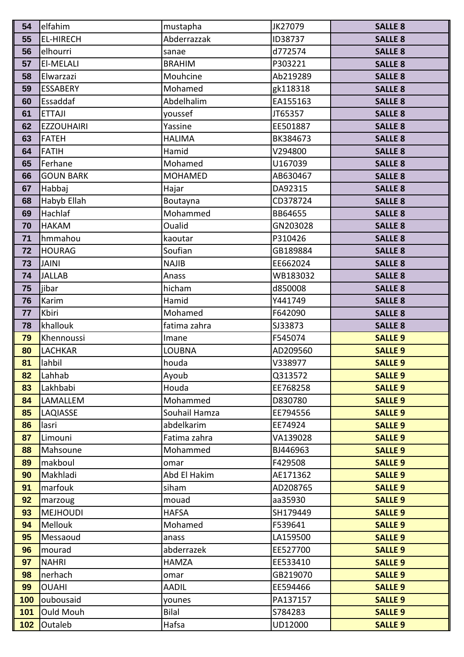| 54  | elfahim                 | mustapha       | JK27079              | <b>SALLE 8</b> |
|-----|-------------------------|----------------|----------------------|----------------|
| 55  | <b>EL-HIRECH</b>        | Abderrazzak    | ID38737              | <b>SALLE 8</b> |
| 56  | elhourri                | sanae          | d772574              | <b>SALLE 8</b> |
| 57  | El-MELALI               | <b>BRAHIM</b>  | P303221              | <b>SALLE 8</b> |
| 58  | Elwarzazi               | Mouhcine       | Ab219289             | <b>SALLE 8</b> |
| 59  | <b>ESSABERY</b>         | Mohamed        | gk118318             | <b>SALLE 8</b> |
| 60  | Essaddaf                | Abdelhalim     | EA155163             | <b>SALLE 8</b> |
| 61  | <b>ETTAJI</b>           | youssef        | JT65357              | <b>SALLE 8</b> |
| 62  | <b>EZZOUHAIRI</b>       | Yassine        | EE501887             | <b>SALLE 8</b> |
| 63  | <b>FATEH</b>            | <b>HALIMA</b>  | BK384673             | <b>SALLE 8</b> |
| 64  | <b>FATIH</b>            | Hamid          | V294800              | <b>SALLE 8</b> |
| 65  | Ferhane                 | Mohamed        | U167039              | <b>SALLE 8</b> |
| 66  | <b>GOUN BARK</b>        | <b>MOHAMED</b> | AB630467             | <b>SALLE 8</b> |
| 67  | Habbaj                  | Hajar          | DA92315              | <b>SALLE 8</b> |
| 68  | Habyb Ellah             | Boutayna       | CD378724             | <b>SALLE 8</b> |
| 69  | Hachlaf                 | Mohammed       | BB64655              | <b>SALLE 8</b> |
| 70  | <b>HAKAM</b>            | Oualid         | GN203028             | <b>SALLE 8</b> |
| 71  | hmmahou                 | kaoutar        | P310426              | <b>SALLE 8</b> |
| 72  | <b>HOURAG</b>           | Soufian        | GB189884             | <b>SALLE 8</b> |
| 73  | <b>JAINI</b>            | <b>NAJIB</b>   | EE662024             | <b>SALLE 8</b> |
| 74  | <b>JALLAB</b>           | Anass          | WB183032             | <b>SALLE 8</b> |
| 75  | jibar                   | hicham         | d850008              | <b>SALLE 8</b> |
| 76  | Karim                   | Hamid          | Y441749              | <b>SALLE 8</b> |
| 77  | Kbiri                   | Mohamed        | F642090              | <b>SALLE 8</b> |
| 78  | khallouk                | fatima zahra   | SJ33873              | <b>SALLE 8</b> |
| 79  | Khennoussi              | Imane          | F545074              | <b>SALLE 9</b> |
| 80  | <b>LACHKAR</b>          | <b>LOUBNA</b>  | AD209560             | <b>SALLE 9</b> |
| 81  | lahbil                  | houda          | V338977              | <b>SALLE 9</b> |
| 82  | Lahhab                  | Ayoub          | Q313572              | <b>SALLE 9</b> |
| 83  | Lakhbabi                | Houda          | EE768258             | <b>SALLE 9</b> |
| 84  | <b>LAMALLEM</b>         | Mohammed       | D830780              | <b>SALLE 9</b> |
| 85  | <b>LAQIASSE</b>         | Souhail Hamza  | EE794556             | <b>SALLE 9</b> |
| 86  | lasri                   | abdelkarim     | EE74924              | <b>SALLE 9</b> |
| 87  | Limouni                 | Fatima zahra   | VA139028             | <b>SALLE 9</b> |
| 88  | Mahsoune                | Mohammed       | BJ446963             | <b>SALLE 9</b> |
| 89  | makboul                 | omar           | F429508              | <b>SALLE 9</b> |
| 90  | Makhladi                | Abd El Hakim   | AE171362             | <b>SALLE 9</b> |
| 91  | marfouk                 | siham          | AD208765             | <b>SALLE 9</b> |
| 92  | marzoug                 | mouad          | aa35930              | <b>SALLE 9</b> |
| 93  | <b>MEJHOUDI</b>         | <b>HAFSA</b>   | SH179449             | <b>SALLE 9</b> |
| 94  | Mellouk                 | Mohamed        | F539641              | <b>SALLE 9</b> |
| 95  | Messaoud                | anass          | LA159500             | <b>SALLE 9</b> |
| 96  | mourad<br><b>NAHRI</b>  | abderrazek     | EE527700<br>EE533410 | <b>SALLE 9</b> |
| 97  |                         | <b>HAMZA</b>   |                      | <b>SALLE 9</b> |
| 98  | nerhach<br><b>OUAHI</b> | omar           | GB219070             | <b>SALLE 9</b> |
| 99  |                         | <b>AADIL</b>   | EE594466             | <b>SALLE 9</b> |
| 100 | oubousaid               | younes         | PA137157             | <b>SALLE 9</b> |
| 101 | <b>Ould Mouh</b>        | Bilal          | S784283              | <b>SALLE 9</b> |
| 102 | Outaleb                 | Hafsa          | UD12000              | <b>SALLE 9</b> |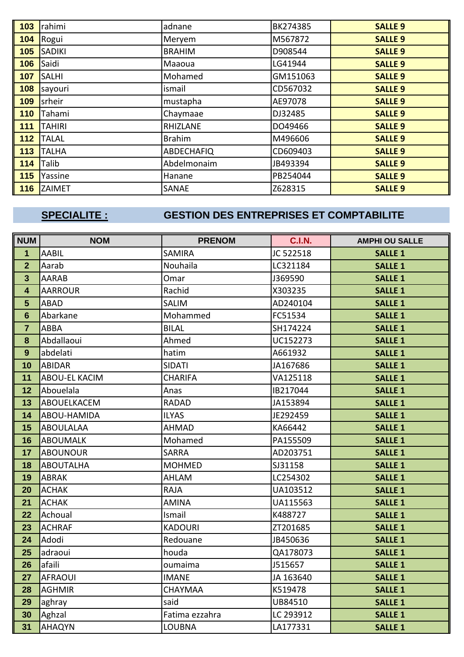| 103 | rahimi        | adnane            | BK274385 | <b>SALLE 9</b> |
|-----|---------------|-------------------|----------|----------------|
| 104 | Rogui         | Meryem            | M567872  | <b>SALLE 9</b> |
| 105 | <b>SADIKI</b> | <b>BRAHIM</b>     | D908544  | <b>SALLE 9</b> |
| 106 | Saidi         | Maaoua            | LG41944  | <b>SALLE 9</b> |
| 107 | <b>SALHI</b>  | Mohamed           | GM151063 | <b>SALLE 9</b> |
| 108 | sayouri       | ismail            | CD567032 | <b>SALLE 9</b> |
| 109 | srheir        | mustapha          | AE97078  | <b>SALLE 9</b> |
| 110 | Tahami        | Chaymaae          | DJ32485  | <b>SALLE 9</b> |
| 111 | <b>TAHIRI</b> | <b>RHIZLANE</b>   | DO49466  | <b>SALLE 9</b> |
| 112 | <b>TALAL</b>  | <b>Brahim</b>     | M496606  | <b>SALLE 9</b> |
| 113 | <b>TALHA</b>  | <b>ABDECHAFIQ</b> | CD609403 | <b>SALLE 9</b> |
| 114 | Talib         | Abdelmonaim       | JB493394 | <b>SALLE 9</b> |
| 115 | Yassine       | Hanane            | PB254044 | <b>SALLE 9</b> |
| 116 | <b>ZAIMET</b> | SANAE             | Z628315  | <b>SALLE 9</b> |

# **SPECIALITE : GESTION DES ENTREPRISES ET COMPTABILITE**

| <b>NUM</b>              | <b>NOM</b>       | <b>PRENOM</b>   | <b>C.I.N.</b> | <b>AMPHI OU SALLE</b> |
|-------------------------|------------------|-----------------|---------------|-----------------------|
| $\overline{1}$          | <b>AABIL</b>     | <b>SAMIRA</b>   | JC 522518     | <b>SALLE 1</b>        |
| $\overline{2}$          | Aarab            | <b>Nouhaila</b> | LC321184      | <b>SALLE 1</b>        |
| $\mathbf{3}$            | <b>AARAB</b>     | Omar            | J369590       | <b>SALLE 1</b>        |
| $\overline{\mathbf{4}}$ | <b>AARROUR</b>   | Rachid          | X303235       | <b>SALLE 1</b>        |
| $5\phantom{1}$          | <b>ABAD</b>      | <b>SALIM</b>    | AD240104      | <b>SALLE 1</b>        |
| $6\phantom{1}6$         | Abarkane         | Mohammed        | FC51534       | <b>SALLE 1</b>        |
| $\overline{7}$          | ABBA             | <b>BILAL</b>    | SH174224      | <b>SALLE 1</b>        |
| 8                       | Abdallaoui       | Ahmed           | UC152273      | <b>SALLE 1</b>        |
| 9                       | abdelati         | hatim           | A661932       | <b>SALLE 1</b>        |
| 10                      | ABIDAR           | <b>SIDATI</b>   | JA167686      | <b>SALLE 1</b>        |
| 11                      | ABOU-EL KACIM    | <b>CHARIFA</b>  | VA125118      | <b>SALLE 1</b>        |
| 12                      | Abouelala        | Anas            | IB217044      | <b>SALLE 1</b>        |
| 13                      | ABOUELKACEM      | <b>RADAD</b>    | JA153894      | <b>SALLE 1</b>        |
| 14                      | ABOU-HAMIDA      | <b>ILYAS</b>    | JE292459      | <b>SALLE 1</b>        |
| 15                      | <b>ABOULALAA</b> | <b>AHMAD</b>    | KA66442       | <b>SALLE 1</b>        |
| 16                      | <b>ABOUMALK</b>  | Mohamed         | PA155509      | <b>SALLE 1</b>        |
| 17                      | <b>ABOUNOUR</b>  | <b>SARRA</b>    | AD203751      | <b>SALLE 1</b>        |
| 18                      | <b>ABOUTALHA</b> | <b>MOHMED</b>   | SJ31158       | <b>SALLE 1</b>        |
| 19                      | <b>ABRAK</b>     | AHLAM           | LC254302      | <b>SALLE 1</b>        |
| 20                      | <b>ACHAK</b>     | <b>RAJA</b>     | UA103512      | <b>SALLE 1</b>        |
| 21                      | <b>ACHAK</b>     | <b>AMINA</b>    | UA115563      | <b>SALLE 1</b>        |
| 22                      | Achoual          | Ismail          | K488727       | <b>SALLE 1</b>        |
| 23                      | <b>ACHRAF</b>    | <b>KADOURI</b>  | ZT201685      | <b>SALLE 1</b>        |
| 24                      | Adodi            | Redouane        | JB450636      | <b>SALLE 1</b>        |
| 25                      | adraoui          | houda           | QA178073      | <b>SALLE 1</b>        |
| 26                      | afaili           | oumaima         | J515657       | <b>SALLE 1</b>        |
| 27                      | <b>AFRAOUI</b>   | <b>IMANE</b>    | JA 163640     | <b>SALLE 1</b>        |
| 28                      | <b>AGHMIR</b>    | <b>CHAYMAA</b>  | K519478       | <b>SALLE 1</b>        |
| 29                      | aghray           | said            | UB84510       | <b>SALLE 1</b>        |
| 30                      | Aghzal           | Fatima ezzahra  | LC 293912     | <b>SALLE 1</b>        |
| 31                      | <b>AHAQYN</b>    | <b>LOUBNA</b>   | LA177331      | <b>SALLE 1</b>        |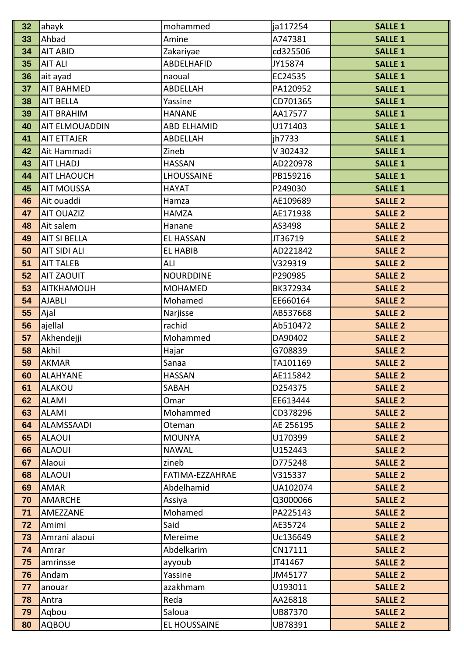| 32       | ahayk                      | mohammed           | ja117254             | <b>SALLE 1</b>                   |
|----------|----------------------------|--------------------|----------------------|----------------------------------|
| 33       | Ahbad                      | Amine              | A747381              | <b>SALLE 1</b>                   |
| 34       | <b>AIT ABID</b>            | Zakariyae          | cd325506             | <b>SALLE 1</b>                   |
| 35       | <b>AIT ALI</b>             | ABDELHAFID         | JY15874              | <b>SALLE 1</b>                   |
| 36       | ait ayad                   | naoual             | EC24535              | <b>SALLE 1</b>                   |
| 37       | <b>AIT BAHMED</b>          | ABDELLAH           | PA120952             | <b>SALLE 1</b>                   |
| 38       | <b>AIT BELLA</b>           | Yassine            | CD701365             | <b>SALLE 1</b>                   |
| 39       | <b>AIT BRAHIM</b>          | <b>HANANE</b>      | AA17577              | <b>SALLE 1</b>                   |
| 40       | AIT ELMOUADDIN             | <b>ABD ELHAMID</b> | U171403              | <b>SALLE 1</b>                   |
| 41       | <b>AIT ETTAJER</b>         | ABDELLAH           | jh7733               | <b>SALLE 1</b>                   |
| 42       | Ait Hammadi                | Zineb              | V 302432             | <b>SALLE 1</b>                   |
| 43       | <b>AIT LHADJ</b>           | <b>HASSAN</b>      | AD220978             | <b>SALLE 1</b>                   |
| 44       | <b>AIT LHAOUCH</b>         | LHOUSSAINE         | PB159216             | <b>SALLE 1</b>                   |
| 45       | <b>AIT MOUSSA</b>          | <b>HAYAT</b>       | P249030              | <b>SALLE 1</b>                   |
| 46       | Ait ouaddi                 | Hamza              | AE109689             | <b>SALLE 2</b>                   |
| 47       | <b>AIT OUAZIZ</b>          | <b>HAMZA</b>       | AE171938             | <b>SALLE 2</b>                   |
| 48       | Ait salem                  | Hanane             | AS3498               | <b>SALLE 2</b>                   |
| 49       | <b>AIT SI BELLA</b>        | <b>EL HASSAN</b>   | JT36719              | <b>SALLE 2</b>                   |
| 50       | <b>AIT SIDI ALI</b>        | <b>EL HABIB</b>    | AD221842             | <b>SALLE 2</b>                   |
| 51       | <b>AIT TALEB</b>           | ALI                | V329319              | <b>SALLE 2</b>                   |
| 52       | <b>AIT ZAOUIT</b>          | <b>NOURDDINE</b>   | P290985              | <b>SALLE 2</b>                   |
| 53       | <b>AITKHAMOUH</b>          | <b>MOHAMED</b>     | BK372934             | <b>SALLE 2</b>                   |
| 54       | <b>AJABLI</b>              | Mohamed            | EE660164             | <b>SALLE 2</b>                   |
| 55       | Ajal                       | Narjisse           | AB537668             | <b>SALLE 2</b>                   |
| 56       | ajellal                    | rachid             | Ab510472             | <b>SALLE 2</b>                   |
| 57       | Akhendejji                 | Mohammed           | DA90402              | <b>SALLE 2</b>                   |
| 58       | Akhil                      | Hajar              | G708839              | <b>SALLE 2</b>                   |
| 59       | <b>AKMAR</b>               | Sanaa              | TA101169             | <b>SALLE 2</b>                   |
| 60       | <b>ALAHYANE</b>            | <b>HASSAN</b>      | AE115842             | <b>SALLE 2</b>                   |
| 61       | <b>ALAKOU</b>              | SABAH              | D254375              | <b>SALLE 2</b>                   |
| 62       | <b>ALAMI</b>               | Omar               | EE613444             | <b>SALLE 2</b>                   |
| 63       | <b>ALAMI</b>               | Mohammed           | CD378296             | <b>SALLE 2</b>                   |
| 64       | <b>ALAMSSAADI</b>          | Oteman             | AE 256195            | <b>SALLE 2</b>                   |
| 65       | <b>ALAOUI</b>              | <b>MOUNYA</b>      | U170399              | <b>SALLE 2</b>                   |
| 66       | <b>ALAOUI</b>              | <b>NAWAL</b>       | U152443              | <b>SALLE 2</b>                   |
| 67       | Alaoui                     | zineb              | D775248              | <b>SALLE 2</b>                   |
| 68       | <b>ALAOUI</b>              | FATIMA-EZZAHRAE    | V315337              | <b>SALLE 2</b>                   |
| 69       | <b>AMAR</b>                | Abdelhamid         | UA102074             | <b>SALLE 2</b>                   |
| 70<br>71 | <b>AMARCHE</b><br>AMEZZANE | Assiya<br>Mohamed  | Q3000066<br>PA225143 | <b>SALLE 2</b><br><b>SALLE 2</b> |
| 72       | Amimi                      | Said               | AE35724              | <b>SALLE 2</b>                   |
| 73       | Amrani alaoui              | Mereime            | Uc136649             | <b>SALLE 2</b>                   |
| 74       | Amrar                      | Abdelkarim         | CN17111              | <b>SALLE 2</b>                   |
| 75       | amrinsse                   | ayyoub             | JT41467              | <b>SALLE 2</b>                   |
| 76       | Andam                      | Yassine            | JM45177              | <b>SALLE 2</b>                   |
| 77       | anouar                     | azakhmam           | U193011              | <b>SALLE 2</b>                   |
| 78       | Antra                      | Reda               | AA26818              | <b>SALLE 2</b>                   |
| 79       | Aqbou                      | Saloua             | UB87370              | <b>SALLE 2</b>                   |
| 80       | AQBOU                      | EL HOUSSAINE       | UB78391              | <b>SALLE 2</b>                   |
|          |                            |                    |                      |                                  |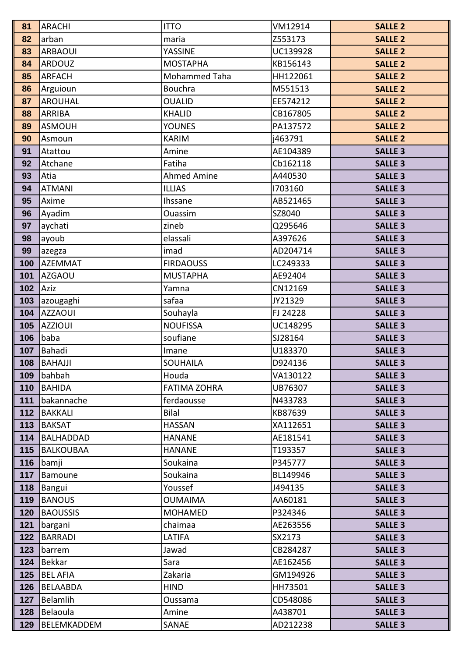| 81         | <b>ARACHI</b>      | <b>ITTO</b>          | VM12914             | <b>SALLE 2</b>                   |
|------------|--------------------|----------------------|---------------------|----------------------------------|
| 82         | arban              | maria                | Z553173             | <b>SALLE 2</b>                   |
| 83         | <b>ARBAOUI</b>     | YASSINE              | UC139928            | <b>SALLE 2</b>                   |
| 84         | <b>ARDOUZ</b>      | <b>MOSTAPHA</b>      | KB156143            | <b>SALLE 2</b>                   |
| 85         | ARFACH             | Mohammed Taha        | HH122061            | <b>SALLE 2</b>                   |
| 86         | Arguioun           | <b>Bouchra</b>       | M551513             | <b>SALLE 2</b>                   |
| 87         | <b>AROUHAL</b>     | <b>OUALID</b>        | EE574212            | <b>SALLE 2</b>                   |
| 88         | <b>ARRIBA</b>      | <b>KHALID</b>        | CB167805            | <b>SALLE 2</b>                   |
| 89         | <b>ASMOUH</b>      | <b>YOUNES</b>        | PA137572            | <b>SALLE 2</b>                   |
| 90         | Asmoun             | <b>KARIM</b>         | j463791             | <b>SALLE 2</b>                   |
| 91         | Atattou            | Amine                | AE104389            | <b>SALLE 3</b>                   |
| 92         | Atchane            | Fatiha               | Cb162118            | <b>SALLE 3</b>                   |
| 93         | Atia               | <b>Ahmed Amine</b>   | A440530             | <b>SALLE 3</b>                   |
| 94         | <b>ATMANI</b>      | <b>ILLIAS</b>        | 1703160             | <b>SALLE 3</b>                   |
| 95         | Axime              | Ihssane              | AB521465            | <b>SALLE 3</b>                   |
| 96         | Ayadim             | <b>Ouassim</b>       | SZ8040              | <b>SALLE 3</b>                   |
| 97         | aychati            | zineb                | Q295646             | <b>SALLE 3</b>                   |
| 98         | ayoub              | elassali             | A397626             | <b>SALLE 3</b>                   |
| 99         | azegza             | imad                 | AD204714            | <b>SALLE 3</b>                   |
| 100        | <b>AZEMMAT</b>     | <b>FIRDAOUSS</b>     | LC249333            | <b>SALLE 3</b>                   |
| 101        | <b>AZGAOU</b>      | <b>MUSTAPHA</b>      | AE92404             | <b>SALLE 3</b>                   |
| 102        | Aziz               | Yamna                | CN12169             | <b>SALLE 3</b>                   |
| 103        | azougaghi          | safaa                | JY21329             | <b>SALLE 3</b>                   |
| 104        | <b>AZZAOUI</b>     | Souhayla             | FJ 24228            | <b>SALLE 3</b>                   |
| 105        | <b>AZZIOUI</b>     | <b>NOUFISSA</b>      | UC148295            | <b>SALLE 3</b>                   |
| 106        | baba               | soufiane             | SJ28164             | <b>SALLE 3</b>                   |
| 107        | Bahadi             | Imane                | U183370             | <b>SALLE 3</b>                   |
| 108        | <b>BAHAJJI</b>     | <b>SOUHAILA</b>      | D924136             | <b>SALLE 3</b>                   |
| 109        | bahbah             | Houda                | VA130122            | <b>SALLE 3</b>                   |
| 110        | BAHIDA             | <b>FATIMA ZOHRA</b>  | UB76307             | <b>SALLE 3</b>                   |
| 111        | bakannache         | ferdaousse           | N433783             | <b>SALLE 3</b>                   |
| $112$      | <b>BAKKALI</b>     | Bilal                | KB87639             | <b>SALLE 3</b>                   |
| 113        | BAKSAT             | <b>HASSAN</b>        | XA112651            | <b>SALLE 3</b>                   |
| 114        | <b>BALHADDAD</b>   | <b>HANANE</b>        | AE181541            | <b>SALLE 3</b>                   |
| 115        | BALKOUBAA          | <b>HANANE</b>        | T193357             | <b>SALLE 3</b>                   |
| 116<br>117 | bamji<br>Bamoune   | Soukaina<br>Soukaina | P345777<br>BL149946 | <b>SALLE 3</b><br><b>SALLE 3</b> |
| 118        | Bangui             | Youssef              | J494135             | <b>SALLE 3</b>                   |
| 119        | <b>BANOUS</b>      | <b>OUMAIMA</b>       | AA60181             | <b>SALLE 3</b>                   |
| 120        | <b>BAOUSSIS</b>    | <b>MOHAMED</b>       | P324346             | <b>SALLE 3</b>                   |
| 121        | bargani            | chaimaa              | AE263556            | <b>SALLE 3</b>                   |
| 122        | <b>BARRADI</b>     | LATIFA               | SX2173              | <b>SALLE 3</b>                   |
| 123        | barrem             | Jawad                | CB284287            | <b>SALLE 3</b>                   |
| 124        | <b>Bekkar</b>      | Sara                 | AE162456            | <b>SALLE 3</b>                   |
| 125        | <b>BEL AFIA</b>    | Zakaria              | GM194926            | <b>SALLE 3</b>                   |
| 126        | BELAABDA           | <b>HIND</b>          | HH73501             | <b>SALLE 3</b>                   |
| 127        | Belamlih           | <b>Oussama</b>       | CD548086            | <b>SALLE 3</b>                   |
| 128        | Belaoula           | Amine                | A438701             | <b>SALLE 3</b>                   |
| 129        | <b>BELEMKADDEM</b> | SANAE                | AD212238            | <b>SALLE 3</b>                   |
|            |                    |                      |                     |                                  |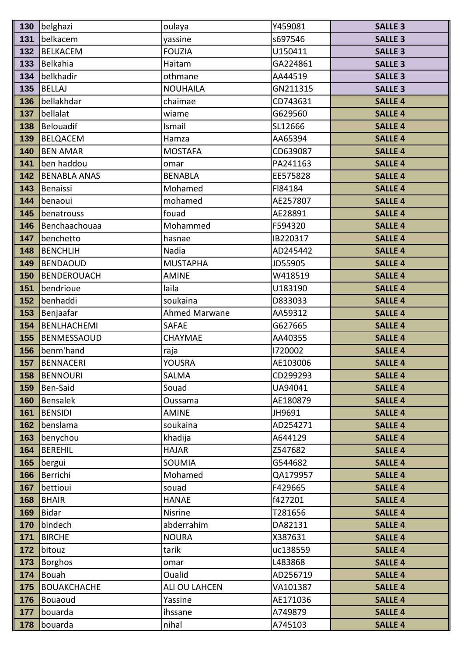| 130 | belghazi            | oulaya               | Y459081  | <b>SALLE 3</b> |
|-----|---------------------|----------------------|----------|----------------|
| 131 | belkacem            | yassine              | s697546  | <b>SALLE 3</b> |
| 132 | <b>BELKACEM</b>     | <b>FOUZIA</b>        | U150411  | <b>SALLE 3</b> |
| 133 | Belkahia            | Haitam               | GA224861 | <b>SALLE 3</b> |
| 134 | belkhadir           | othmane              | AA44519  | <b>SALLE 3</b> |
| 135 | <b>BELLAJ</b>       | <b>NOUHAILA</b>      | GN211315 | <b>SALLE 3</b> |
| 136 | bellakhdar          | chaimae              | CD743631 | <b>SALLE 4</b> |
| 137 | bellalat            | wiame                | G629560  | <b>SALLE 4</b> |
| 138 | <b>Belouadif</b>    | Ismail               | SL12666  | <b>SALLE 4</b> |
| 139 | <b>BELQACEM</b>     | Hamza                | AA65394  | <b>SALLE 4</b> |
| 140 | <b>BEN AMAR</b>     | <b>MOSTAFA</b>       | CD639087 | <b>SALLE 4</b> |
| 141 | ben haddou          | omar                 | PA241163 | <b>SALLE 4</b> |
| 142 | <b>BENABLA ANAS</b> | <b>BENABLA</b>       | EE575828 | <b>SALLE 4</b> |
| 143 | Benaissi            | Mohamed              | FI84184  | <b>SALLE 4</b> |
| 144 | benaoui             | mohamed              | AE257807 | <b>SALLE 4</b> |
| 145 | benatrouss          | fouad                | AE28891  | <b>SALLE 4</b> |
| 146 | Benchaachouaa       | Mohammed             | F594320  | <b>SALLE 4</b> |
| 147 | benchetto           | hasnae               | IB220317 | <b>SALLE 4</b> |
| 148 | <b>BENCHLIH</b>     | Nadia                | AD245442 | <b>SALLE 4</b> |
| 149 | <b>BENDAOUD</b>     | <b>MUSTAPHA</b>      | JD55905  | <b>SALLE 4</b> |
| 150 | <b>BENDEROUACH</b>  | <b>AMINE</b>         | W418519  | <b>SALLE 4</b> |
| 151 | bendrioue           | laila                | U183190  | <b>SALLE 4</b> |
| 152 | benhaddi            | soukaina             | D833033  | <b>SALLE 4</b> |
| 153 | Benjaafar           | <b>Ahmed Marwane</b> | AA59312  | <b>SALLE 4</b> |
| 154 | <b>BENLHACHEMI</b>  | <b>SAFAE</b>         | G627665  | <b>SALLE 4</b> |
| 155 | <b>BENMESSAOUD</b>  | CHAYMAE              | AA40355  | <b>SALLE 4</b> |
| 156 | benm'hand           | raja                 | 1720002  | <b>SALLE 4</b> |
| 157 | <b>BENNACERI</b>    | <b>YOUSRA</b>        | AE103006 | <b>SALLE 4</b> |
| 158 | <b>BENNOURI</b>     | <b>SALMA</b>         | CD299293 | <b>SALLE 4</b> |
| 159 | Ben-Said            | Souad                | UA94041  | <b>SALLE 4</b> |
| 160 | <b>Bensalek</b>     | Oussama              | AE180879 | <b>SALLE 4</b> |
| 161 | <b>BENSIDI</b>      | <b>AMINE</b>         | JH9691   | <b>SALLE 4</b> |
| 162 | benslama            | soukaina             | AD254271 | <b>SALLE 4</b> |
| 163 | benychou            | khadija              | A644129  | <b>SALLE 4</b> |
| 164 | <b>BEREHIL</b>      | <b>HAJAR</b>         | Z547682  | <b>SALLE 4</b> |
| 165 | bergui              | <b>SOUMIA</b>        | G544682  | <b>SALLE 4</b> |
| 166 | Berrichi            | Mohamed              | QA179957 | <b>SALLE 4</b> |
| 167 | bettioui            | souad                | F429665  | <b>SALLE 4</b> |
| 168 | <b>BHAIR</b>        | <b>HANAE</b>         | f427201  | <b>SALLE 4</b> |
| 169 | <b>Bidar</b>        | Nisrine              | T281656  | <b>SALLE 4</b> |
| 170 | bindech             | abderrahim           | DA82131  | <b>SALLE 4</b> |
| 171 | <b>BIRCHE</b>       | <b>NOURA</b>         | X387631  | <b>SALLE 4</b> |
| 172 | bitouz              | tarik                | uc138559 | <b>SALLE 4</b> |
| 173 | <b>Borghos</b>      | omar                 | L483868  | <b>SALLE 4</b> |
| 174 | Bouah               | Oualid               | AD256719 | <b>SALLE 4</b> |
| 175 | <b>BOUAKCHACHE</b>  | ALI OU LAHCEN        | VA101387 | <b>SALLE 4</b> |
| 176 | Bouaoud             | Yassine              | AE171036 | <b>SALLE 4</b> |
| 177 | bouarda             | ihssane              | A749879  | <b>SALLE 4</b> |
| 178 | bouarda             | nihal                | A745103  | <b>SALLE 4</b> |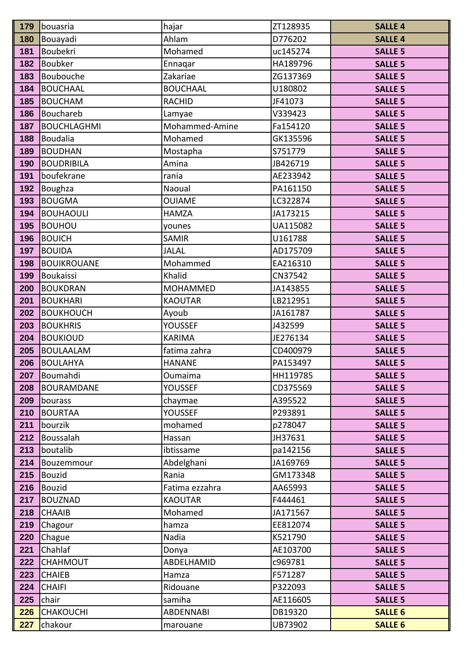| 179        | bouasria           | hajar            | ZT128935             | <b>SALLE 4</b>                   |
|------------|--------------------|------------------|----------------------|----------------------------------|
| 180        | Bouayadi           | Ahlam            | D776202              | <b>SALLE 4</b>                   |
| 181        | Boubekri           | Mohamed          | uc145274             | <b>SALLE 5</b>                   |
| 182        | Boubker            | Ennagar          | HA189796             | <b>SALLE 5</b>                   |
| 183        | Boubouche          | Zakariae         | ZG137369             | <b>SALLE 5</b>                   |
| 184        | <b>BOUCHAAL</b>    | <b>BOUCHAAL</b>  | U180802              | <b>SALLE 5</b>                   |
| 185        | <b>BOUCHAM</b>     | <b>RACHID</b>    | JF41073              | <b>SALLE 5</b>                   |
| 186        | Bouchareb          | Lamyae           | V339423              | <b>SALLE 5</b>                   |
| 187        | <b>BOUCHLAGHMI</b> | Mohammed-Amine   | Fa154120             | <b>SALLE 5</b>                   |
| 188        | Boudalia           | Mohamed          | GK135596             | <b>SALLE 5</b>                   |
| 189        | <b>BOUDHAN</b>     | Mostapha         | S751779              | <b>SALLE 5</b>                   |
| 190        | <b>BOUDRIBILA</b>  | Amina            | JB426719             | <b>SALLE 5</b>                   |
| 191        | boufekrane         | rania            | AE233942             | <b>SALLE 5</b>                   |
| 192        | Boughza            | Naoual           | PA161150             | <b>SALLE 5</b>                   |
| 193        | <b>BOUGMA</b>      | <b>OUIAME</b>    | LC322874             | <b>SALLE 5</b>                   |
| 194        | BOUHAOULI          | <b>HAMZA</b>     | JA173215             | <b>SALLE 5</b>                   |
| 195        | <b>BOUHOU</b>      | younes           | UA115082             | <b>SALLE 5</b>                   |
| 196        | <b>BOUICH</b>      | <b>SAMIR</b>     | U161788              | <b>SALLE 5</b>                   |
| 197        | <b>BOUIDA</b>      | <b>JALAL</b>     | AD175709             | <b>SALLE 5</b>                   |
| 198        | <b>BOUIKROUANE</b> | Mohammed         | EA216310             | <b>SALLE 5</b>                   |
| 199        | Boukaissi          | Khalid           | CN37542              | <b>SALLE 5</b>                   |
| 200        | <b>BOUKDRAN</b>    | <b>MOHAMMED</b>  | JA143855             | <b>SALLE 5</b>                   |
| 201        | <b>BOUKHARI</b>    | <b>KAOUTAR</b>   | LB212951             | <b>SALLE 5</b>                   |
| 202        | <b>BOUKHOUCH</b>   | Ayoub            | JA161787             | <b>SALLE 5</b>                   |
| 203        | <b>BOUKHRIS</b>    | <b>YOUSSEF</b>   | J432599              | <b>SALLE 5</b>                   |
| 204        | <b>BOUKIOUD</b>    | <b>KARIMA</b>    | JE276134             | <b>SALLE 5</b>                   |
| 205        | <b>BOULAALAM</b>   | fatima zahra     | CD400979             | <b>SALLE 5</b>                   |
| 206        | <b>BOULAHYA</b>    | <b>HANANE</b>    | PA153497             | <b>SALLE 5</b>                   |
| 207        | Boumahdi           | Oumaima          | HH119785             | <b>SALLE 5</b>                   |
| 208        | <b>BOURAMDANE</b>  | YOUSSEF          | CD375569             | <b>SALLE 5</b>                   |
| 209        | bourass            | chaymae          | A395522              | <b>SALLE 5</b>                   |
| 210        | <b>BOURTAA</b>     | <b>YOUSSEF</b>   | P293891              | <b>SALLE 5</b>                   |
| 211        | bourzik            | mohamed          | p278047              | <b>SALLE 5</b>                   |
| 212        | Boussalah          | Hassan           | JH37631              | <b>SALLE 5</b>                   |
| 213        | boutalib           | ibtissame        | pa142156             | <b>SALLE 5</b>                   |
| 214        | Bouzemmour         | Abdelghani       | JA169769             | <b>SALLE 5</b>                   |
| 215        | Bouzid             | Rania            | GM173348             | <b>SALLE 5</b>                   |
| 216        | Bouzid             | Fatima ezzahra   | AA65993              | <b>SALLE 5</b>                   |
| 217        | BOUZNAD            | <b>KAOUTAR</b>   | F444461              | <b>SALLE 5</b>                   |
| 218<br>219 | <b>CHAAIB</b>      | Mohamed<br>hamza | JA171567<br>EE812074 | <b>SALLE 5</b><br><b>SALLE 5</b> |
| 220        | Chagour            | Nadia            | K521790              | <b>SALLE 5</b>                   |
| 221        | Chague<br>Chahlaf  | Donya            | AE103700             | <b>SALLE 5</b>                   |
| 222        | <b>CHAHMOUT</b>    | ABDELHAMID       | c969781              | <b>SALLE 5</b>                   |
| 223        | <b>CHAIEB</b>      | Hamza            | F571287              | <b>SALLE 5</b>                   |
| 224        | <b>CHAIFI</b>      | Ridouane         | P322093              | <b>SALLE 5</b>                   |
| 225        | chair              | samiha           | AE116605             | <b>SALLE 5</b>                   |
| 226        | <b>CHAKOUCHI</b>   | <b>ABDENNABI</b> | DB19320              | <b>SALLE 6</b>                   |
| 227        | chakour            | marouane         | UB73902              | <b>SALLE 6</b>                   |
|            |                    |                  |                      |                                  |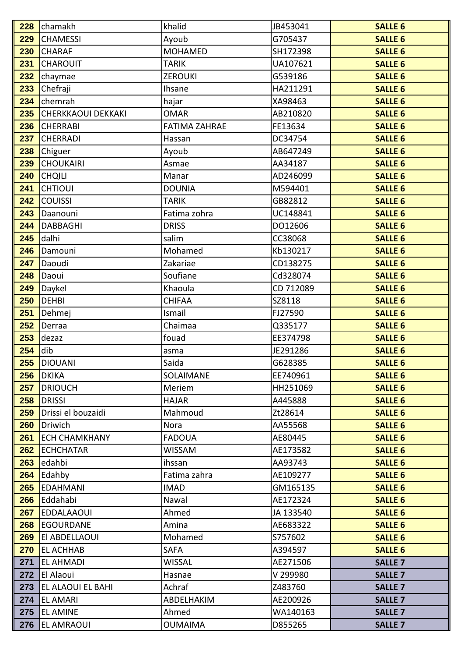| 228        | chamakh                   | khalid               | JB453041  | <b>SALLE 6</b> |
|------------|---------------------------|----------------------|-----------|----------------|
| 229        | <b>CHAMESSI</b>           | Ayoub                | G705437   | <b>SALLE 6</b> |
| 230        | <b>CHARAF</b>             | <b>MOHAMED</b>       | SH172398  | <b>SALLE 6</b> |
| 231        | <b>CHAROUIT</b>           | <b>TARIK</b>         | UA107621  | <b>SALLE 6</b> |
| 232        | chaymae                   | <b>ZEROUKI</b>       | G539186   | <b>SALLE 6</b> |
| 233        | Chefraji                  | <b>Ihsane</b>        | HA211291  | <b>SALLE 6</b> |
| 234        | chemrah                   | hajar                | XA98463   | <b>SALLE 6</b> |
| 235        | <b>CHERKKAOUI DEKKAKI</b> | <b>OMAR</b>          | AB210820  | <b>SALLE 6</b> |
| 236        | <b>CHERRABI</b>           | <b>FATIMA ZAHRAE</b> | FE13634   | <b>SALLE 6</b> |
| 237        | <b>CHERRADI</b>           | Hassan               | DC34754   | <b>SALLE 6</b> |
| 238        | Chiguer                   | Ayoub                | AB647249  | <b>SALLE 6</b> |
| 239        | <b>CHOUKAIRI</b>          | Asmae                | AA34187   | <b>SALLE 6</b> |
| 240        | <b>CHQILI</b>             | Manar                | AD246099  | <b>SALLE 6</b> |
| 241        | <b>CHTIOUI</b>            | <b>DOUNIA</b>        | M594401   | <b>SALLE 6</b> |
| 242        | <b>COUISSI</b>            | <b>TARIK</b>         | GB82812   | <b>SALLE 6</b> |
| 243        | Daanouni                  | Fatima zohra         | UC148841  | <b>SALLE 6</b> |
| 244        | <b>DABBAGHI</b>           | <b>DRISS</b>         | DO12606   | <b>SALLE 6</b> |
| 245        | dalhi                     | salim                | CC38068   | <b>SALLE 6</b> |
| 246        | Damouni                   | Mohamed              | Kb130217  | <b>SALLE 6</b> |
| 247        | Daoudi                    | Zakariae             | CD138275  | <b>SALLE 6</b> |
| 248        | Daoui                     | Soufiane             | Cd328074  | <b>SALLE 6</b> |
| 249        | Daykel                    | Khaoula              | CD 712089 | <b>SALLE 6</b> |
| 250        | <b>DEHBI</b>              | <b>CHIFAA</b>        | SZ8118    | <b>SALLE 6</b> |
| 251        | Dehmej                    | Ismail               | FJ27590   | <b>SALLE 6</b> |
| 252        | Derraa                    | Chaimaa              | Q335177   | <b>SALLE 6</b> |
| 253        | dezaz                     | fouad                | EE374798  | <b>SALLE 6</b> |
| 254        | dib                       | asma                 | JE291286  | <b>SALLE 6</b> |
| 255        | <b>DIOUANI</b>            | Saida                | G628385   | <b>SALLE 6</b> |
| 256        | <b>DKIKA</b>              | SOLAIMANE            | EE740961  | <b>SALLE 6</b> |
| 257        | <b>DRIOUCH</b>            | Meriem               | HH251069  | <b>SALLE 6</b> |
| 258        | <b>DRISSI</b>             | <b>HAJAR</b>         | A445888   | <b>SALLE 6</b> |
| 259        | Drissi el bouzaidi        | Mahmoud              | Zt28614   | <b>SALLE 6</b> |
| <b>260</b> | Driwich                   | <b>Nora</b>          | AA55568   | <b>SALLE 6</b> |
| 261        | <b>ECH CHAMKHANY</b>      | <b>FADOUA</b>        | AE80445   | <b>SALLE 6</b> |
| 262        | <b>ECHCHATAR</b>          | <b>WISSAM</b>        | AE173582  | <b>SALLE 6</b> |
| 263        | edahbi                    | ihssan               | AA93743   | <b>SALLE 6</b> |
| 264        | Edahby                    | Fatima zahra         | AE109277  | <b>SALLE 6</b> |
| 265        | <b>EDAHMANI</b>           | <b>IMAD</b>          | GM165135  | <b>SALLE 6</b> |
| 266        | Eddahabi                  | Nawal                | AE172324  | <b>SALLE 6</b> |
| 267        | <b>EDDALAAOUI</b>         | Ahmed                | JA 133540 | <b>SALLE 6</b> |
| 268        | <b>EGOURDANE</b>          | Amina                | AE683322  | <b>SALLE 6</b> |
| 269        | El ABDELLAOUI             | Mohamed              | S757602   | <b>SALLE 6</b> |
| 270        | <b>EL ACHHAB</b>          | <b>SAFA</b>          | A394597   | <b>SALLE 6</b> |
| 271        | EL AHMADI                 | WISSAL               | AE271506  | <b>SALLE 7</b> |
| 272        | El Alaoui                 | Hasnae               | V 299980  | <b>SALLE 7</b> |
| 273        | EL ALAOUI EL BAHI         | Achraf               | Z483760   | <b>SALLE 7</b> |
| 274        | <b>EL AMARI</b>           | ABDELHAKIM           | AE200926  | <b>SALLE 7</b> |
| 275        | <b>EL AMINE</b>           | Ahmed                | WA140163  | <b>SALLE 7</b> |
| 276        | EL AMRAOUI                | <b>OUMAIMA</b>       | D855265   | <b>SALLE 7</b> |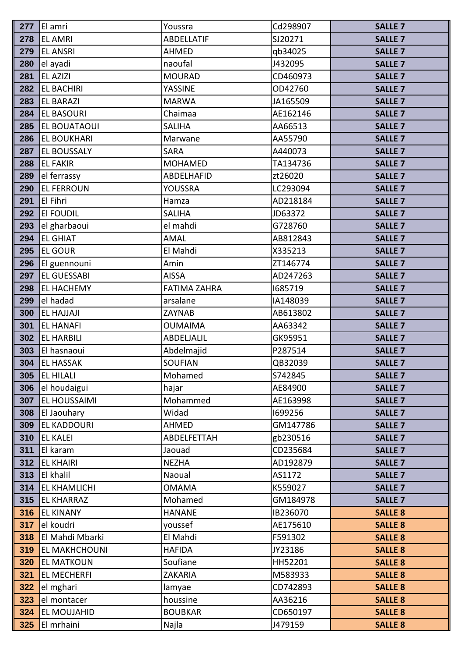| 277 | El amri             | Youssra             | Cd298907 | <b>SALLE 7</b> |
|-----|---------------------|---------------------|----------|----------------|
| 278 | <b>EL AMRI</b>      | <b>ABDELLATIF</b>   | SJ20271  | <b>SALLE 7</b> |
| 279 | <b>EL ANSRI</b>     | <b>AHMED</b>        | qb34025  | <b>SALLE 7</b> |
| 280 | el ayadi            | naoufal             | J432095  | <b>SALLE 7</b> |
| 281 | <b>EL AZIZI</b>     | <b>MOURAD</b>       | CD460973 | <b>SALLE 7</b> |
| 282 | <b>EL BACHIRI</b>   | YASSINE             | OD42760  | <b>SALLE 7</b> |
| 283 | <b>EL BARAZI</b>    | <b>MARWA</b>        | JA165509 | <b>SALLE 7</b> |
| 284 | <b>EL BASOURI</b>   | Chaimaa             | AE162146 | <b>SALLE 7</b> |
| 285 | EL BOUATAOUI        | <b>SALIHA</b>       | AA66513  | <b>SALLE 7</b> |
| 286 | <b>EL BOUKHARI</b>  | Marwane             | AA55790  | <b>SALLE 7</b> |
| 287 | <b>EL BOUSSALY</b>  | <b>SARA</b>         | A440073  | <b>SALLE 7</b> |
| 288 | <b>EL FAKIR</b>     | <b>MOHAMED</b>      | TA134736 | <b>SALLE 7</b> |
| 289 | el ferrassy         | <b>ABDELHAFID</b>   | zt26020  | <b>SALLE 7</b> |
| 290 | <b>EL FERROUN</b>   | <b>YOUSSRA</b>      | LC293094 | <b>SALLE 7</b> |
| 291 | <b>El Fihri</b>     | Hamza               | AD218184 | <b>SALLE 7</b> |
| 292 | <b>EI FOUDIL</b>    | <b>SALIHA</b>       | JD63372  | <b>SALLE 7</b> |
| 293 | el gharbaoui        | el mahdi            | G728760  | <b>SALLE 7</b> |
| 294 | <b>EL GHIAT</b>     | <b>AMAL</b>         | AB812843 | <b>SALLE 7</b> |
| 295 | <b>EL GOUR</b>      | El Mahdi            | X335213  | <b>SALLE 7</b> |
| 296 | El guennouni        | Amin                | ZT146774 | <b>SALLE 7</b> |
| 297 | <b>EL GUESSABI</b>  | <b>AISSA</b>        | AD247263 | <b>SALLE 7</b> |
| 298 | <b>EL HACHEMY</b>   | <b>FATIMA ZAHRA</b> | 1685719  | <b>SALLE 7</b> |
| 299 | el hadad            | arsalane            | IA148039 | <b>SALLE 7</b> |
| 300 | <b>EL HAJJAJI</b>   | <b>ZAYNAB</b>       | AB613802 | <b>SALLE 7</b> |
| 301 | <b>EL HANAFI</b>    | <b>OUMAIMA</b>      | AA63342  | <b>SALLE 7</b> |
| 302 | <b>EL HARBILI</b>   | ABDELJALIL          | GK95951  | <b>SALLE 7</b> |
| 303 | El hasnaoui         | Abdelmajid          | P287514  | <b>SALLE 7</b> |
| 304 | <b>EL HASSAK</b>    | <b>SOUFIAN</b>      | QB32039  | <b>SALLE 7</b> |
| 305 | <b>EL HILALI</b>    | Mohamed             | S742845  | <b>SALLE 7</b> |
| 306 | el houdaigui        | hajar               | AE84900  | <b>SALLE 7</b> |
| 307 | <b>EL HOUSSAIMI</b> | Mohammed            | AE163998 | <b>SALLE 7</b> |
| 308 | El Jaouhary         | Widad               | 1699256  | <b>SALLE 7</b> |
| 309 | <b>EL KADDOURI</b>  | <b>AHMED</b>        | GM147786 | <b>SALLE 7</b> |
| 310 | <b>EL KALEI</b>     | ABDELFETTAH         | gb230516 | <b>SALLE 7</b> |
| 311 | El karam            | Jaouad              | CD235684 | <b>SALLE 7</b> |
| 312 | <b>EL KHAIRI</b>    | <b>NEZHA</b>        | AD192879 | <b>SALLE 7</b> |
| 313 | El khalil           | Naoual              | AS1172   | <b>SALLE 7</b> |
| 314 | <b>EL KHAMLICHI</b> | <b>OMAMA</b>        | K559027  | <b>SALLE 7</b> |
| 315 | <b>EL KHARRAZ</b>   | Mohamed             | GM184978 | <b>SALLE 7</b> |
| 316 | <b>EL KINANY</b>    | <b>HANANE</b>       | IB236070 | <b>SALLE 8</b> |
| 317 | el koudri           | youssef             | AE175610 | <b>SALLE 8</b> |
| 318 | El Mahdi Mbarki     | El Mahdi            | F591302  | <b>SALLE 8</b> |
| 319 | EL MAKHCHOUNI       | <b>HAFIDA</b>       | JY23186  | <b>SALLE 8</b> |
| 320 | <b>EL MATKOUN</b>   | Soufiane            | HH52201  | <b>SALLE 8</b> |
| 321 | <b>EL MECHERFI</b>  | <b>ZAKARIA</b>      | M583933  | <b>SALLE 8</b> |
| 322 | el mghari           | lamyae              | CD742893 | <b>SALLE 8</b> |
| 323 | el montacer         | houssine            | AA36216  | <b>SALLE 8</b> |
| 324 | EL MOUJAHID         | <b>BOUBKAR</b>      | CD650197 | <b>SALLE 8</b> |
| 325 | El mrhaini          | Najla               | J479159  | <b>SALLE 8</b> |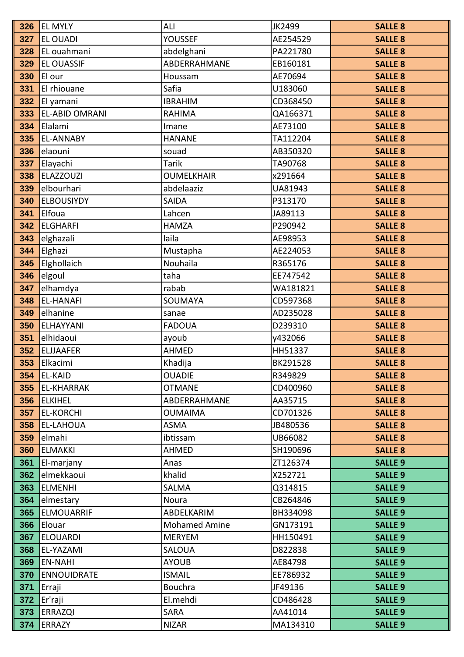| 326        | <b>EL MYLY</b>        | ALI                        | JK2499              | <b>SALLE 8</b>                   |
|------------|-----------------------|----------------------------|---------------------|----------------------------------|
| 327        | <b>EL OUADI</b>       | <b>YOUSSEF</b>             | AE254529            | <b>SALLE 8</b>                   |
| 328        | EL ouahmani           | abdelghani                 | PA221780            | <b>SALLE 8</b>                   |
| 329        | <b>EL OUASSIF</b>     | ABDERRAHMANE               | EB160181            | <b>SALLE 8</b>                   |
| 330        | El our                | Houssam                    | AE70694             | <b>SALLE 8</b>                   |
| 331        | El rhiouane           | Safia                      | U183060             | <b>SALLE 8</b>                   |
| 332        | El yamani             | <b>IBRAHIM</b>             | CD368450            | <b>SALLE 8</b>                   |
| 333        | <b>EL-ABID OMRANI</b> | RAHIMA                     | QA166371            | <b>SALLE 8</b>                   |
| 334        | Elalami               | Imane                      | AE73100             | <b>SALLE 8</b>                   |
| 335        | <b>EL-ANNABY</b>      | <b>HANANE</b>              | TA112204            | <b>SALLE 8</b>                   |
| 336        | elaouni               | souad                      | AB350320            | <b>SALLE 8</b>                   |
| 337        | Elayachi              | <b>Tarik</b>               | TA90768             | <b>SALLE 8</b>                   |
| 338        | <b>ELAZZOUZI</b>      | <b>OUMELKHAIR</b>          | x291664             | <b>SALLE 8</b>                   |
| 339        | elbourhari            | abdelaaziz                 | UA81943             | <b>SALLE 8</b>                   |
| 340        | <b>ELBOUSIYDY</b>     | <b>SAIDA</b>               | P313170             | <b>SALLE 8</b>                   |
| 341        | Elfoua                | Lahcen                     | JA89113             | <b>SALLE 8</b>                   |
| 342        | <b>ELGHARFI</b>       | <b>HAMZA</b>               | P290942             | <b>SALLE 8</b>                   |
| 343        | elghazali             | laila                      | AE98953             | <b>SALLE 8</b>                   |
| 344        | Elghazi               | Mustapha                   | AE224053            | <b>SALLE 8</b>                   |
| 345        | Elghollaich           | Nouhaila                   | R365176             | <b>SALLE 8</b>                   |
| 346        | elgoul                | taha                       | EE747542            | <b>SALLE 8</b>                   |
| 347        | elhamdya              | rabab                      | WA181821            | <b>SALLE 8</b>                   |
| 348        | <b>EL-HANAFI</b>      | SOUMAYA                    | CD597368            | <b>SALLE 8</b>                   |
| 349        | elhanine              | sanae                      | AD235028            | <b>SALLE 8</b>                   |
| 350        | ELHAYYANI             | <b>FADOUA</b>              | D239310             | <b>SALLE 8</b>                   |
| 351        | elhidaoui             | ayoub                      | y432066             | <b>SALLE 8</b>                   |
| 352        | <b>ELJJAAFER</b>      | AHMED                      | HH51337             | <b>SALLE 8</b>                   |
| 353        | Elkacimi              | Khadija                    | BK291528            | <b>SALLE 8</b>                   |
| 354        | <b>EL-KAID</b>        | <b>OUADIE</b>              | R349829             | <b>SALLE 8</b>                   |
| 355        | <b>EL-KHARRAK</b>     | <b>OTMANE</b>              | CD400960            | <b>SALLE 8</b>                   |
| 356        | <b>ELKIHEL</b>        | ABDERRAHMANE               | AA35715             | <b>SALLE 8</b>                   |
| 357        | <b>EL-KORCHI</b>      | <b>OUMAIMA</b>             | CD701326            | <b>SALLE 8</b>                   |
| 358        | EL-LAHOUA             | <b>ASMA</b>                | JB480536            | <b>SALLE 8</b>                   |
| 359        | elmahi                | ibtissam                   | UB66082             | <b>SALLE 8</b>                   |
| 360        | <b>ELMAKKI</b>        | <b>AHMED</b>               | SH190696            | <b>SALLE 8</b>                   |
| 361        | El-marjany            | Anas                       | ZT126374            | <b>SALLE 9</b>                   |
| 362        | elmekkaoui            | khalid                     | X252721             | <b>SALLE 9</b>                   |
| 363        | <b>ELMENHI</b>        | SALMA                      | Q314815             | <b>SALLE 9</b>                   |
| 364        | elmestary             | Noura                      | CB264846            | <b>SALLE 9</b>                   |
| 365        | <b>ELMOUARRIF</b>     | ABDELKARIM                 | BH334098            | <b>SALLE 9</b>                   |
| 366        | Elouar                | <b>Mohamed Amine</b>       | GN173191            | <b>SALLE 9</b>                   |
| 367        | <b>ELOUARDI</b>       | <b>MERYEM</b>              | HH150491            | <b>SALLE 9</b>                   |
| 368        | EL-YAZAMI             | <b>SALOUA</b>              | D822838             | <b>SALLE 9</b>                   |
| 369        | <b>EN-NAHI</b>        | <b>AYOUB</b>               | AE84798             | <b>SALLE 9</b>                   |
| 370        | <b>ENNOUIDRATE</b>    | <b>ISMAIL</b>              | EE786932            | <b>SALLE 9</b>                   |
| 371<br>372 | Erraji                | <b>Bouchra</b><br>El.mehdi | JF49136<br>CD486428 | <b>SALLE 9</b><br><b>SALLE 9</b> |
| 373        | Er'raji               | <b>SARA</b>                | AA41014             |                                  |
|            | <b>ERRAZQI</b>        |                            |                     | <b>SALLE 9</b>                   |
| 374        | <b>ERRAZY</b>         | <b>NIZAR</b>               | MA134310            | <b>SALLE 9</b>                   |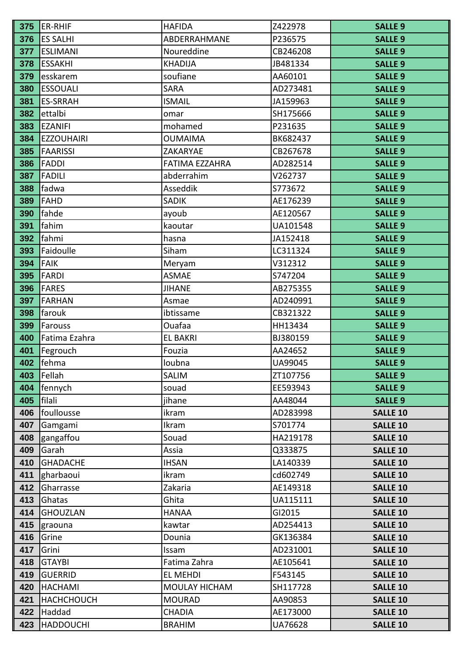| 375 | ER-RHIF           | <b>HAFIDA</b>         | Z422978  | <b>SALLE 9</b>  |
|-----|-------------------|-----------------------|----------|-----------------|
| 376 | <b>ES SALHI</b>   | ABDERRAHMANE          | P236575  | <b>SALLE 9</b>  |
| 377 | <b>ESLIMANI</b>   | Noureddine            | CB246208 | <b>SALLE 9</b>  |
| 378 | <b>ESSAKHI</b>    | <b>KHADIJA</b>        | JB481334 | <b>SALLE 9</b>  |
| 379 | esskarem          | soufiane              | AA60101  | <b>SALLE 9</b>  |
| 380 | <b>ESSOUALI</b>   | <b>SARA</b>           | AD273481 | <b>SALLE 9</b>  |
| 381 | <b>ES-SRRAH</b>   | <b>ISMAIL</b>         | JA159963 | <b>SALLE 9</b>  |
| 382 | ettalbi           | omar                  | SH175666 | <b>SALLE 9</b>  |
| 383 | <b>EZANIFI</b>    | mohamed               | P231635  | <b>SALLE 9</b>  |
| 384 | <b>EZZOUHAIRI</b> | <b>OUMAIMA</b>        | BK682437 | <b>SALLE 9</b>  |
| 385 | <b>FAARISSI</b>   | ZAKARYAE              | CB267678 | <b>SALLE 9</b>  |
| 386 | <b>FADDI</b>      | <b>FATIMA EZZAHRA</b> | AD282514 | <b>SALLE 9</b>  |
| 387 | <b>FADILI</b>     | abderrahim            | V262737  | <b>SALLE 9</b>  |
| 388 | fadwa             | Asseddik              | S773672  | <b>SALLE 9</b>  |
| 389 | <b>FAHD</b>       | <b>SADIK</b>          | AE176239 | <b>SALLE 9</b>  |
| 390 | fahde             | ayoub                 | AE120567 | <b>SALLE 9</b>  |
| 391 | fahim             | kaoutar               | UA101548 | <b>SALLE 9</b>  |
| 392 | fahmi             | hasna                 | JA152418 | <b>SALLE 9</b>  |
| 393 | Faidoulle         | Siham                 | LC311324 | <b>SALLE 9</b>  |
| 394 | <b>FAIK</b>       | Meryam                | V312312  | <b>SALLE 9</b>  |
| 395 | <b>FARDI</b>      | <b>ASMAE</b>          | S747204  | <b>SALLE 9</b>  |
| 396 | <b>FARES</b>      | <b>JIHANE</b>         | AB275355 | <b>SALLE 9</b>  |
| 397 | <b>FARHAN</b>     | Asmae                 | AD240991 | <b>SALLE 9</b>  |
| 398 | farouk            | ibtissame             | CB321322 | <b>SALLE 9</b>  |
| 399 | Farouss           | Ouafaa                | HH13434  | <b>SALLE 9</b>  |
| 400 | Fatima Ezahra     | <b>EL BAKRI</b>       | BJ380159 | <b>SALLE 9</b>  |
| 401 | Fegrouch          | Fouzia                | AA24652  | <b>SALLE 9</b>  |
| 402 | fehma             | loubna                | UA99045  | <b>SALLE 9</b>  |
| 403 | Fellah            | <b>SALIM</b>          | ZT107756 | <b>SALLE 9</b>  |
| 404 | fennych           | souad                 | EE593943 | <b>SALLE 9</b>  |
| 405 | filali            | jihane                | AA48044  | <b>SALLE 9</b>  |
| 406 | foullousse        | ikram                 | AD283998 | <b>SALLE 10</b> |
| 407 | Gamgami           | Ikram                 | S701774  | <b>SALLE 10</b> |
| 408 | gangaffou         | Souad                 | HA219178 | <b>SALLE 10</b> |
| 409 | Garah             | Assia                 | Q333875  | <b>SALLE 10</b> |
| 410 | <b>GHADACHE</b>   | <b>IHSAN</b>          | LA140339 | <b>SALLE 10</b> |
| 411 | gharbaoui         | ikram                 | cd602749 | <b>SALLE 10</b> |
| 412 | Gharrasse         | Zakaria               | AE149318 | <b>SALLE 10</b> |
| 413 | Ghatas            | Ghita                 | UA115111 | <b>SALLE 10</b> |
| 414 | <b>GHOUZLAN</b>   | <b>HANAA</b>          | GI2015   | <b>SALLE 10</b> |
| 415 | graouna           | kawtar                | AD254413 | <b>SALLE 10</b> |
| 416 | Grine             | Dounia                | GK136384 | <b>SALLE 10</b> |
| 417 | Grini             | Issam                 | AD231001 | <b>SALLE 10</b> |
| 418 | <b>GTAYBI</b>     | Fatima Zahra          | AE105641 | <b>SALLE 10</b> |
| 419 | <b>GUERRID</b>    | EL MEHDI              | F543145  | <b>SALLE 10</b> |
| 420 | <b>HACHAMI</b>    | MOULAY HICHAM         | SH117728 | <b>SALLE 10</b> |
| 421 | <b>HACHCHOUCH</b> | <b>MOURAD</b>         | AA90853  | <b>SALLE 10</b> |
| 422 | Haddad            | <b>CHADIA</b>         | AE173000 | <b>SALLE 10</b> |
| 423 | <b>HADDOUCHI</b>  | <b>BRAHIM</b>         | UA76628  | <b>SALLE 10</b> |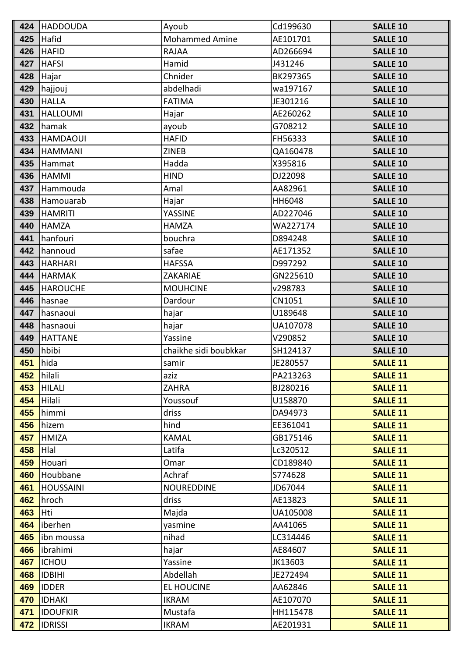| 424 | <b>HADDOUDA</b>  | Ayoub                 | Cd199630 | <b>SALLE 10</b> |
|-----|------------------|-----------------------|----------|-----------------|
| 425 | Hafid            | <b>Mohammed Amine</b> | AE101701 | <b>SALLE 10</b> |
| 426 | <b>HAFID</b>     | <b>RAJAA</b>          | AD266694 | <b>SALLE 10</b> |
| 427 | <b>HAFSI</b>     | Hamid                 | J431246  | <b>SALLE 10</b> |
| 428 | Hajar            | Chnider               | BK297365 | <b>SALLE 10</b> |
| 429 | hajjouj          | abdelhadi             | wa197167 | <b>SALLE 10</b> |
| 430 | <b>HALLA</b>     | <b>FATIMA</b>         | JE301216 | <b>SALLE 10</b> |
| 431 | <b>HALLOUMI</b>  | Hajar                 | AE260262 | <b>SALLE 10</b> |
| 432 | hamak            | ayoub                 | G708212  | <b>SALLE 10</b> |
| 433 | <b>HAMDAOUI</b>  | <b>HAFID</b>          | FH56333  | <b>SALLE 10</b> |
| 434 | <b>HAMMANI</b>   | <b>ZINEB</b>          | QA160478 | <b>SALLE 10</b> |
| 435 | Hammat           | Hadda                 | X395816  | <b>SALLE 10</b> |
| 436 | <b>HAMMI</b>     | <b>HIND</b>           | DJ22098  | <b>SALLE 10</b> |
| 437 | Hammouda         | Amal                  | AA82961  | <b>SALLE 10</b> |
| 438 | Hamouarab        | Hajar                 | HH6048   | <b>SALLE 10</b> |
| 439 | <b>HAMRITI</b>   | YASSINE               | AD227046 | <b>SALLE 10</b> |
| 440 | <b>HAMZA</b>     | <b>HAMZA</b>          | WA227174 | <b>SALLE 10</b> |
| 441 | hanfouri         | bouchra               | D894248  | <b>SALLE 10</b> |
| 442 | hannoud          | safae                 | AE171352 | <b>SALLE 10</b> |
| 443 | <b>HARHARI</b>   | <b>HAFSSA</b>         | D997292  | <b>SALLE 10</b> |
| 444 | <b>HARMAK</b>    | ZAKARIAE              | GN225610 | <b>SALLE 10</b> |
| 445 | <b>HAROUCHE</b>  | <b>MOUHCINE</b>       | v298783  | <b>SALLE 10</b> |
| 446 | hasnae           | Dardour               | CN1051   | <b>SALLE 10</b> |
| 447 | hasnaoui         | hajar                 | U189648  | <b>SALLE 10</b> |
| 448 | hasnaoui         | hajar                 | UA107078 | <b>SALLE 10</b> |
| 449 | <b>HATTANE</b>   | Yassine               | V290852  | <b>SALLE 10</b> |
| 450 | hbibi            | chaikhe sidi boubkkar | SH124137 | <b>SALLE 10</b> |
| 451 | hida             | samir                 | JE280557 | <b>SALLE 11</b> |
| 452 | hilali           | aziz                  | PA213263 | <b>SALLE 11</b> |
| 453 | <b>HILALI</b>    | <b>ZAHRA</b>          | BJ280216 | <b>SALLE 11</b> |
| 454 | Hilali           | Youssouf              | U158870  | <b>SALLE 11</b> |
| 455 | himmi            | driss                 | DA94973  | <b>SALLE 11</b> |
| 456 | hizem            | hind                  | EE361041 | <b>SALLE 11</b> |
| 457 | <b>HMIZA</b>     | <b>KAMAL</b>          | GB175146 | <b>SALLE 11</b> |
| 458 | Hlal             | Latifa                | Lc320512 | <b>SALLE 11</b> |
| 459 | Houari           | Omar                  | CD189840 | <b>SALLE 11</b> |
| 460 | Houbbane         | Achraf                | S774628  | <b>SALLE 11</b> |
| 461 | <b>HOUSSAINI</b> | <b>NOUREDDINE</b>     | JD67044  | <b>SALLE 11</b> |
| 462 | hroch            | driss                 | AE13823  | <b>SALLE 11</b> |
| 463 | Hti              | Majda                 | UA105008 | <b>SALLE 11</b> |
| 464 | iberhen          | yasmine               | AA41065  | <b>SALLE 11</b> |
| 465 | ibn moussa       | nihad                 | LC314446 | <b>SALLE 11</b> |
| 466 | ibrahimi         | hajar                 | AE84607  | <b>SALLE 11</b> |
| 467 | <b>ICHOU</b>     | Yassine               | JK13603  | <b>SALLE 11</b> |
| 468 | <b>IDBIHI</b>    | Abdellah              | JE272494 | <b>SALLE 11</b> |
| 469 | <b>IDDER</b>     | <b>EL HOUCINE</b>     | AA62846  | <b>SALLE 11</b> |
| 470 | <b>IDHAKI</b>    | <b>IKRAM</b>          | AE107070 | <b>SALLE 11</b> |
| 471 | <b>IDOUFKIR</b>  | Mustafa               | HH115478 | <b>SALLE 11</b> |
| 472 | <b>IDRISSI</b>   | <b>IKRAM</b>          | AE201931 | <b>SALLE 11</b> |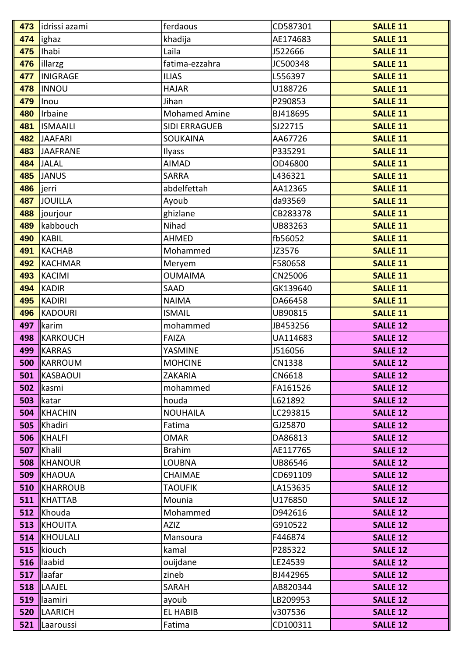| 473 | idrissi azami                     | ferdaous                  | CD587301            | <b>SALLE 11</b>                    |
|-----|-----------------------------------|---------------------------|---------------------|------------------------------------|
| 474 | lighaz                            | khadija                   | AE174683            | <b>SALLE 11</b>                    |
| 475 | Ihabi                             | Laila                     | J522666             | <b>SALLE 11</b>                    |
| 476 | illarzg                           | fatima-ezzahra            | JC500348            | <b>SALLE 11</b>                    |
| 477 | <b>INIGRAGE</b>                   | <b>ILIAS</b>              | L556397             | <b>SALLE 11</b>                    |
| 478 | <b>INNOU</b>                      | <b>HAJAR</b>              | U188726             | <b>SALLE 11</b>                    |
| 479 | Inou                              | Jihan                     | P290853             | <b>SALLE 11</b>                    |
| 480 | Irbaine                           | <b>Mohamed Amine</b>      | BJ418695            | <b>SALLE 11</b>                    |
| 481 | <b>ISMAAILI</b>                   | <b>SIDI ERRAGUEB</b>      | SJ22715             | <b>SALLE 11</b>                    |
| 482 | <b>JAAFARI</b>                    | SOUKAINA                  | AA67726             | <b>SALLE 11</b>                    |
| 483 | JAAFRANE                          | Ilyass                    | P335291             | <b>SALLE 11</b>                    |
| 484 | <b>JALAL</b>                      | <b>AIMAD</b>              | OD46800             | <b>SALLE 11</b>                    |
| 485 | <b>JANUS</b>                      | <b>SARRA</b>              | L436321             | <b>SALLE 11</b>                    |
| 486 | ljerri                            | abdelfettah               | AA12365             | <b>SALLE 11</b>                    |
| 487 | JOUILLA                           | Ayoub                     | da93569             | <b>SALLE 11</b>                    |
| 488 | <i>s</i> jourjour                 | ghizlane                  | CB283378            | <b>SALLE 11</b>                    |
| 489 | kabbouch                          | Nihad                     | UB83263             | <b>SALLE 11</b>                    |
| 490 | KABIL                             | <b>AHMED</b>              | fb56052             | <b>SALLE 11</b>                    |
| 491 | <b>KACHAB</b>                     | Mohammed                  | JZ3576              | <b>SALLE 11</b>                    |
| 492 | KACHMAR                           | Meryem                    | F580658             | <b>SALLE 11</b>                    |
| 493 | KACIMI                            | <b>OUMAIMA</b>            | CN25006             | <b>SALLE 11</b>                    |
| 494 | KADIR                             | SAAD                      | GK139640            | <b>SALLE 11</b>                    |
| 495 | KADIRI                            | <b>NAIMA</b>              | DA66458             | <b>SALLE 11</b>                    |
| 496 | KADOURI                           | <b>ISMAIL</b>             | UB90815             | <b>SALLE 11</b>                    |
| 497 | <b>I</b> karim                    | mohammed                  | JB453256            | <b>SALLE 12</b>                    |
|     |                                   |                           |                     |                                    |
|     | 498 KARKOUCH                      | <b>FAIZA</b>              | UA114683            | <b>SALLE 12</b>                    |
| 499 | <b>IKARRAS</b>                    | YASMINE                   | J516056             | <b>SALLE 12</b>                    |
| 500 | <b>IKARROUM</b>                   | <b>MOHCINE</b>            | CN1338              | <b>SALLE 12</b>                    |
|     | <b>501 KASBAOUI</b>               | <b>ZAKARIA</b>            | CN6618              | <b>SALLE 12</b>                    |
|     | 502  kasmi                        | mohammed                  | FA161526            | <b>SALLE 12</b>                    |
|     | 503 Ikatar                        | houda                     | L621892             | <b>SALLE 12</b>                    |
|     | <b>504 KHACHIN</b>                | <b>NOUHAILA</b>           | LC293815            | <b>SALLE 12</b>                    |
|     | 505  Khadiri                      | Fatima                    | GJ25870             | <b>SALLE 12</b>                    |
|     | 506 KHALFI                        | <b>OMAR</b>               | DA86813             | <b>SALLE 12</b>                    |
|     | 507 Khalil                        | <b>Brahim</b>             | AE117765            | <b>SALLE 12</b>                    |
|     | <b>508 KHANOUR</b>                | LOUBNA                    | UB86546             | <b>SALLE 12</b>                    |
|     | <b>509 KHAOUA</b>                 | <b>CHAIMAE</b>            | CD691109            | <b>SALLE 12</b>                    |
|     | <b>510 KHARROUB</b>               | <b>TAOUFIK</b>            | LA153635            | <b>SALLE 12</b>                    |
|     | <b>511 KHATTAB</b>                | Mounia                    | U176850             | <b>SALLE 12</b>                    |
|     | 512 Khouda                        | Mohammed                  | D942616             | <b>SALLE 12</b>                    |
|     | <b>513 KHOUITA</b>                | <b>AZIZ</b>               | G910522             | <b>SALLE 12</b>                    |
|     | <b>514 KHOULALI</b>               | Mansoura                  | F446874             | <b>SALLE 12</b>                    |
|     | $515$   kiouch                    | kamal                     | P285322             | <b>SALLE 12</b>                    |
|     | $516$   aabid                     | ouijdane                  | LE24539             | <b>SALLE 12</b>                    |
|     | $517$   laafar                    | zineb                     | BJ442965            | <b>SALLE 12</b>                    |
| 518 | LAAJEL                            | SARAH                     | AB820344            | <b>SALLE 12</b>                    |
| 519 | <b>Ilaamiri</b>                   | ayoub                     | LB209953            | <b>SALLE 12</b>                    |
| 520 | <b>ILAARICH</b><br>521  Laaroussi | <b>EL HABIB</b><br>Fatima | v307536<br>CD100311 | <b>SALLE 12</b><br><b>SALLE 12</b> |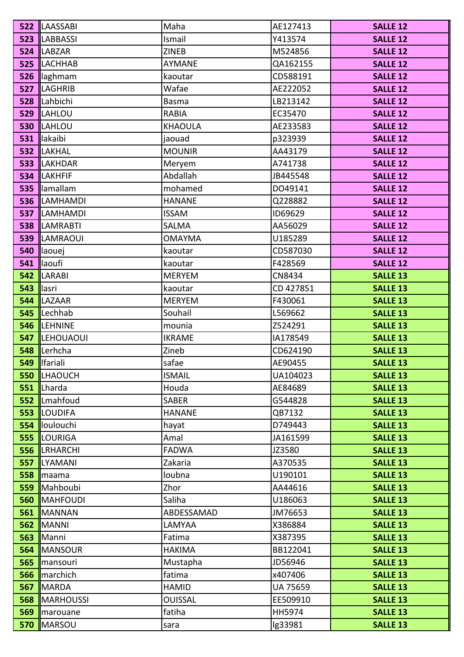|                   | <b>522 ILAASSABI</b>                          | Maha           | AE127413            | <b>SALLE 12</b>                    |
|-------------------|-----------------------------------------------|----------------|---------------------|------------------------------------|
|                   | <b>523 ILABBASSI</b>                          | Ismail         | Y413574             | <b>SALLE 12</b>                    |
|                   | 524  LABZAR                                   | <b>ZINEB</b>   | M524856             | <b>SALLE 12</b>                    |
|                   | <b>525 ILACHHAB</b>                           | AYMANE         | QA162155            | <b>SALLE 12</b>                    |
|                   | 526 <b>laghmam</b>                            | kaoutar        | CD588191            | <b>SALLE 12</b>                    |
|                   | <b>527  LAGHRIB</b>                           | Wafae          | AE222052            | <b>SALLE 12</b>                    |
|                   | 528 ILahbichi                                 | <b>Basma</b>   | LB213142            | <b>SALLE 12</b>                    |
|                   | <b>529  LAHLOU</b>                            | <b>RABIA</b>   | EC35470             | <b>SALLE 12</b>                    |
|                   | <b>530  LAHLOU</b>                            | <b>KHAOULA</b> | AE233583            | <b>SALLE 12</b>                    |
|                   | 531 <b>I</b> lakaibi                          | jaouad         | p323939             | <b>SALLE 12</b>                    |
|                   | 532  LAKHAL                                   | <b>MOUNIR</b>  | AA43179             | <b>SALLE 12</b>                    |
|                   | 533  LAKHDAR                                  | Meryem         | A741738             | <b>SALLE 12</b>                    |
|                   | 534  LAKHFIF                                  | Abdallah       | JB445548            | <b>SALLE 12</b>                    |
|                   | 535 Illamallam                                | mohamed        | DO49141             | <b>SALLE 12</b>                    |
|                   | 536  LAMHAMDI                                 | <b>HANANE</b>  | Q228882             | <b>SALLE 12</b>                    |
|                   | <b>537 ILAMHAMDI</b>                          | <b>ISSAM</b>   | ID69629             | <b>SALLE 12</b>                    |
|                   | 538  LAMRABTI                                 | <b>SALMA</b>   | AA56029             | <b>SALLE 12</b>                    |
|                   | <b>539 ILAMRAOUI</b>                          | <b>OMAYMA</b>  | U185289             | <b>SALLE 12</b>                    |
|                   | 540  laouej                                   | kaoutar        | CD587030            | <b>SALLE 12</b>                    |
|                   | $541$   aoufi                                 | kaoutar        | F428569             | <b>SALLE 12</b>                    |
|                   | 542  LARABI                                   | <b>MERYEM</b>  | CN8434              | <b>SALLE 13</b>                    |
| 543 <b>Ilasri</b> |                                               | kaoutar        | CD 427851           | <b>SALLE 13</b>                    |
|                   | 544  LAZAAR                                   | <b>MERYEM</b>  | F430061             | <b>SALLE 13</b>                    |
|                   | 545  Lechhab                                  | Souhail        | L569662             | <b>SALLE 13</b>                    |
|                   | 546  LEHNINE                                  | mounia         | Z524291             | <b>SALLE 13</b>                    |
|                   | <b>547  LEHOUAOUI</b>                         | <b>IKRAME</b>  | IA178549            | <b>SALLE 13</b>                    |
|                   | 548 Lerhcha                                   | Zineb          | CD624190            | <b>SALLE 13</b>                    |
|                   | 549   fariali                                 | safae          | AE90455             | <b>SALLE 13</b>                    |
|                   | <b>550  LHAOUCH</b>                           | <b>ISMAIL</b>  | UA104023            | <b>SALLE 13</b>                    |
|                   | $551$  Lharda                                 | Houda          | AE84689             | <b>SALLE 13</b>                    |
|                   | 552  Lmahfoud                                 | <b>SABER</b>   | G544828             | <b>SALLE 13</b>                    |
|                   | <b>553 ILOUDIFA</b><br>554 <b>I</b> loulouchi | <b>HANANE</b>  | QB7132              | <b>SALLE 13</b>                    |
|                   | <b>555 ILOURIGA</b>                           | hayat<br>Amal  | D749443<br>JA161599 | <b>SALLE 13</b>                    |
|                   | <b>556  LRHARCHI</b>                          | <b>FADWA</b>   | JZ3580              | <b>SALLE 13</b><br><b>SALLE 13</b> |
|                   | 557  LYAMANI                                  | Zakaria        | A370535             | <b>SALLE 13</b>                    |
|                   | 558   maama                                   | loubna         | U190101             | <b>SALLE 13</b>                    |
|                   | 559 Mahboubi                                  | Zhor           | AA44616             | <b>SALLE 13</b>                    |
|                   | <b>560  MAHFOUDI</b>                          | Saliha         | U186063             | <b>SALLE 13</b>                    |
| 561               | <b>IMANNAN</b>                                | ABDESSAMAD     | JM76653             | <b>SALLE 13</b>                    |
|                   | <b>562 MANNI</b>                              | LAMYAA         | X386884             | <b>SALLE 13</b>                    |
|                   | 563  Manni                                    | Fatima         | X387395             | <b>SALLE 13</b>                    |
|                   | 564  MANSOUR                                  | <b>HAKIMA</b>  | BB122041            | <b>SALLE 13</b>                    |
|                   | 565   mansouri                                | Mustapha       | JD56946             | <b>SALLE 13</b>                    |
|                   | 566   marchich                                | fatima         | x407406             | <b>SALLE 13</b>                    |
| 567               | <b>IMARDA</b>                                 | <b>HAMID</b>   | <b>UA 75659</b>     | <b>SALLE 13</b>                    |
|                   | <b>568  MARHOUSSI</b>                         | <b>OUISSAL</b> | EE509910            | <b>SALLE 13</b>                    |
|                   | <b>569  </b> marouane                         | fatiha         | HH5974              | <b>SALLE 13</b>                    |
|                   | <b>570 MARSOU</b>                             | sara           | lg33981             | <b>SALLE 13</b>                    |
|                   |                                               |                |                     |                                    |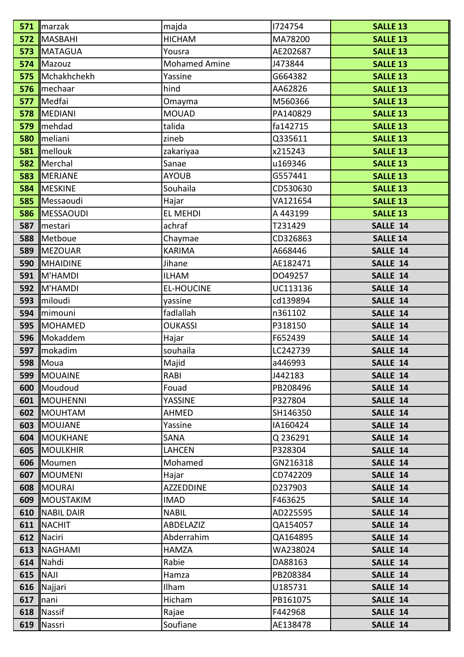|             | $571$   marzak         | majda                | 1724754  | <b>SALLE 13</b> |
|-------------|------------------------|----------------------|----------|-----------------|
|             | 572 MASBAHI            | <b>HICHAM</b>        | MA78200  | <b>SALLE 13</b> |
|             | <b>573 MATAGUA</b>     | Yousra               | AE202687 | <b>SALLE 13</b> |
|             | 574 Mazouz             | <b>Mohamed Amine</b> | J473844  | <b>SALLE 13</b> |
|             | 575 Mchakhchekh        | Yassine              | G664382  | <b>SALLE 13</b> |
|             | 576   mechaar          | hind                 | AA62826  | <b>SALLE 13</b> |
|             | 577   Medfai           | Omayma               | M560366  | <b>SALLE 13</b> |
|             | 578  MEDIANI           | <b>MOUAD</b>         | PA140829 | <b>SALLE 13</b> |
|             | 579 mehdad             | talida               | fa142715 | <b>SALLE 13</b> |
|             | 580   meliani          | zineb                | Q335611  | <b>SALLE 13</b> |
|             | 581 mellouk            | zakariyaa            | x215243  | <b>SALLE 13</b> |
|             | 582 Merchal            | Sanae                | u169346  | <b>SALLE 13</b> |
|             | <b>583  </b> MERJANE   | <b>AYOUB</b>         | G557441  | <b>SALLE 13</b> |
|             | <b>584  MESKINE</b>    | Souhaila             | CD530630 | <b>SALLE 13</b> |
|             | 585  Messaoudi         | Hajar                | VA121654 | <b>SALLE 13</b> |
|             | <b>586  </b> MESSAOUDI | <b>EL MEHDI</b>      | A 443199 | <b>SALLE 13</b> |
|             | 587   mestari          | achraf               | T231429  | SALLE 14        |
|             | 588 Metboue            | Chaymae              | CD326863 | <b>SALLE 14</b> |
|             | 589   MEZOUAR          | <b>KARIMA</b>        | A668446  | SALLE 14        |
|             | 590  MHAIDINE          | Jihane               | AE182471 | SALLE 14        |
|             | $591$ M'HAMDI          | <b>ILHAM</b>         | DO49257  | SALLE 14        |
|             | <b>592 M'HAMDI</b>     | <b>EL-HOUCINE</b>    | UC113136 | SALLE 14        |
|             | 593 <i>miloudi</i>     | yassine              | cd139894 | SALLE 14        |
|             | 594 mimouni            | fadlallah            | n361102  | SALLE 14        |
|             | 595  MOHAMED           | <b>OUKASSI</b>       | P318150  | SALLE 14        |
|             | 596 Mokaddem           | Hajar                | F652439  | SALLE 14        |
|             | 597 mokadim            | souhaila             | LC242739 | SALLE 14        |
|             | <b>598   Moua</b>      | Majid                | a446993  | SALLE 14        |
|             | 599   MOUAINE          | RABI                 | J442183  | SALLE 14        |
|             | 600 Moudoud            | Fouad                | PB208496 | SALLE 14        |
|             | <b>601   MOUHENNI</b>  | <b>YASSINE</b>       | P327804  | SALLE 14        |
|             | <b>602 IMOUHTAM</b>    | <b>AHMED</b>         | SH146350 | SALLE 14        |
|             | 603 MOUJANE            | Yassine              | IA160424 | SALLE 14        |
|             | <b>604  MOUKHANE</b>   | SANA                 | Q 236291 | SALLE 14        |
|             | <b>605  MOULKHIR</b>   | <b>LAHCEN</b>        | P328304  | SALLE 14        |
|             | 606 Moumen             | Mohamed              | GN216318 | SALLE 14        |
|             | <b>607   MOUMENI</b>   | Hajar                | CD742209 | SALLE 14        |
|             | 608  MOURAI            | <b>AZZEDDINE</b>     | D237903  | SALLE 14        |
|             | <b>609   MOUSTAKIM</b> | <b>IMAD</b>          | F463625  | SALLE 14        |
|             | 610  INABIL DAIR       | <b>NABIL</b>         | AD225595 | SALLE 14        |
|             | 611  NACHIT            | ABDELAZIZ            | QA154057 | SALLE 14        |
|             | 612  Naciri            | Abderrahim           | QA164895 | SALLE 14        |
|             | 613  NAGHAMI           | <b>HAMZA</b>         | WA238024 | SALLE 14        |
|             | $614$ Nahdi            | Rabie                | DA88163  | SALLE 14        |
| $615$  NAJI |                        | Hamza                | PB208384 | SALLE 14        |
|             | 616  Najjari           | Ilham                | U185731  | SALLE 14        |
| $617$  nani |                        | Hicham               | PB161075 | SALLE 14        |
|             | $618$   Nassif         | Rajae                | F442968  | SALLE 14        |
|             | 619   Nassri           | Soufiane             | AE138478 | SALLE 14        |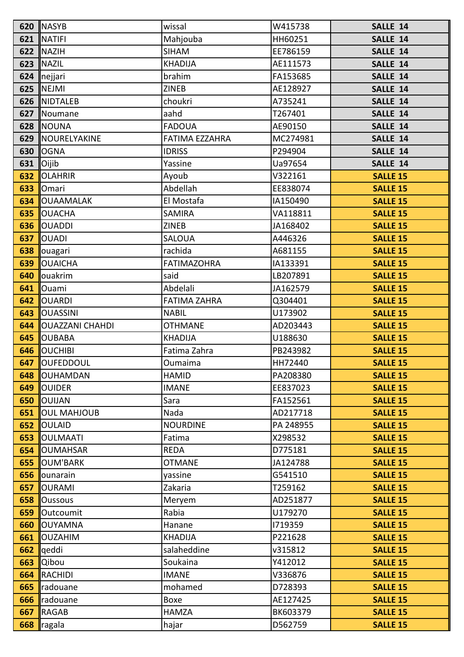|     | 620  NASYB                  | wissal                | W415738   | SALLE 14        |
|-----|-----------------------------|-----------------------|-----------|-----------------|
|     | 621  NATIFI                 | Mahjouba              | HH60251   | SALLE 14        |
|     | 622 INAZIH                  | <b>SIHAM</b>          | EE786159  | SALLE 14        |
|     | $623$   NAZIL               | <b>KHADIJA</b>        | AE111573  | SALLE 14        |
|     | 624  nejjari                | brahim                | FA153685  | SALLE 14        |
|     | 625 $\parallel$ NEJMI       | <b>ZINEB</b>          | AE128927  | SALLE 14        |
|     | 626  NIDTALEB               | choukri               | A735241   | SALLE 14        |
|     | 627  Noumane                | aahd                  | T267401   | SALLE 14        |
|     | 628  NOUNA                  | <b>FADOUA</b>         | AE90150   | SALLE 14        |
|     | 629   NOURELYAKINE          | <b>FATIMA EZZAHRA</b> | MC274981  | SALLE 14        |
|     | <b>630   OGNA</b>           | <b>IDRISS</b>         | P294904   | SALLE 14        |
|     | 631 $\vert$ Oijib           | Yassine               | Ua97654   | SALLE 14        |
|     | 632 OLAHRIR                 | Ayoub                 | V322161   | <b>SALLE 15</b> |
|     | 633 Omari                   | Abdellah              | EE838074  | <b>SALLE 15</b> |
|     | <b>634  OUAAMALAK</b>       | El Mostafa            | IA150490  | <b>SALLE 15</b> |
|     | 635 OUACHA                  | <b>SAMIRA</b>         | VA118811  | <b>SALLE 15</b> |
|     | 636 OUADDI                  | <b>ZINEB</b>          | JA168402  | <b>SALLE 15</b> |
|     | 637 OUADI                   | <b>SALOUA</b>         | A446326   | <b>SALLE 15</b> |
|     | 638   ouagari               | rachida               | A681155   | <b>SALLE 15</b> |
| 639 | <b>OUAICHA</b>              | <b>FATIMAZOHRA</b>    | IA133391  | <b>SALLE 15</b> |
|     | 640 louakrim                | said                  | LB207891  | <b>SALLE 15</b> |
|     | 641 Ouami                   | Abdelali              | JA162579  | <b>SALLE 15</b> |
|     | <b>642  OUARDI</b>          | <b>FATIMA ZAHRA</b>   | Q304401   | <b>SALLE 15</b> |
|     | 643 OUASSINI                | <b>NABIL</b>          | U173902   | <b>SALLE 15</b> |
|     | <b>644  OUAZZANI CHAHDI</b> | <b>OTHMANE</b>        | AD203443  | <b>SALLE 15</b> |
| 645 | <b>OUBABA</b>               | <b>KHADIJA</b>        | U188630   | <b>SALLE 15</b> |
| 646 | <b>OUCHIBI</b>              | Fatima Zahra          | PB243982  | <b>SALLE 15</b> |
| 647 | <b>OUFEDDOUL</b>            | <b>Oumaima</b>        | HH72440   | <b>SALLE 15</b> |
|     | 648  OUHAMDAN               | <b>HAMID</b>          | PA208380  | <b>SALLE 15</b> |
| 649 | <b>OUIDER</b>               | <b>IMANE</b>          | EE837023  | <b>SALLE 15</b> |
| 650 | <b>OUIJAN</b>               | Sara                  | FA152561  | <b>SALLE 15</b> |
| 651 | <b>OUL MAHJOUB</b>          | Nada                  | AD217718  | <b>SALLE 15</b> |
|     | 652 OULAID                  | <b>NOURDINE</b>       | PA 248955 | <b>SALLE 15</b> |
| 653 | <b>OULMAATI</b>             | Fatima                | X298532   | <b>SALLE 15</b> |
| 654 | <b>OUMAHSAR</b>             | <b>REDA</b>           | D775181   | <b>SALLE 15</b> |
|     | 655 OUM'BARK                | <b>OTMANE</b>         | JA124788  | <b>SALLE 15</b> |
| 656 | lounarain                   | yassine               | G541510   | <b>SALLE 15</b> |
| 657 | <b>OURAMI</b>               | Zakaria               | T259162   | <b>SALLE 15</b> |
| 658 | <b>Oussous</b>              | Meryem                | AD251877  | <b>SALLE 15</b> |
| 659 | Outcoumit                   | Rabia                 | U179270   | <b>SALLE 15</b> |
| 660 | <b>OUYAMNA</b>              | Hanane                | 1719359   | <b>SALLE 15</b> |
| 661 | <b>OUZAHIM</b>              | <b>KHADIJA</b>        | P221628   | <b>SALLE 15</b> |
| 662 | lqeddi                      | salaheddine           | v315812   | <b>SALLE 15</b> |
| 663 | <b>Qibou</b>                | Soukaina              | Y412012   | <b>SALLE 15</b> |
|     | 664 RACHIDI                 | <b>IMANE</b>          | V336876   | <b>SALLE 15</b> |
| 665 | radouane                    | mohamed               | D728393   | <b>SALLE 15</b> |
| 666 | radouane                    | Boxe                  | AE127425  | <b>SALLE 15</b> |
| 667 | <b>RAGAB</b>                | <b>HAMZA</b>          | BK603379  | <b>SALLE 15</b> |
| 668 | ragala                      | hajar                 | D562759   | <b>SALLE 15</b> |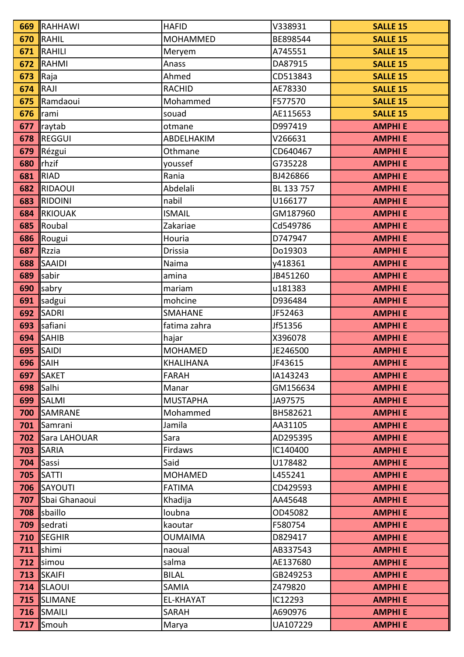|              | <b>669 RAHHAWI</b>       | <b>HAFID</b>     | V338931    | <b>SALLE 15</b> |
|--------------|--------------------------|------------------|------------|-----------------|
|              | $670$ RAHIL              | <b>MOHAMMED</b>  | BE898544   | <b>SALLE 15</b> |
|              | 671 RAHILI               | Meryem           | A745551    | <b>SALLE 15</b> |
|              | 672 RAHMI                | Anass            | DA87915    | <b>SALLE 15</b> |
| 673 $ $ Raja |                          | Ahmed            | CD513843   | <b>SALLE 15</b> |
| $674$ RAJI   |                          | <b>RACHID</b>    | AE78330    | <b>SALLE 15</b> |
|              | 675 Ramdaoui             | Mohammed         | F577570    | <b>SALLE 15</b> |
| 676 Irami    |                          | souad            | AE115653   | <b>SALLE 15</b> |
|              | $677$ raytab             | otmane           | D997419    | <b>AMPHIE</b>   |
|              | 678 REGGUI               | ABDELHAKIM       | V266631    | <b>AMPHIE</b>   |
|              | 679 Rézgui               | Othmane          | CD640467   | <b>AMPHIE</b>   |
|              | 680 Thzif                | youssef          | G735228    | <b>AMPHIE</b>   |
|              | <b>681 RIAD</b>          | Rania            | BJ426866   | <b>AMPHIE</b>   |
|              | 682 RIDAOUI              | Abdelali         | BL 133 757 | <b>AMPHIE</b>   |
|              | 683 RIDOINI              | nabil            | U166177    | <b>AMPHIE</b>   |
|              | <b>684 RKIOUAK</b>       | <b>ISMAIL</b>    | GM187960   | <b>AMPHIE</b>   |
|              | 685 Roubal               | Zakariae         | Cd549786   | <b>AMPHIE</b>   |
|              | 686 Rougui               | Houria           | D747947    | <b>AMPHIE</b>   |
|              | 687 $ $ Rzzia            | Drissia          | Do19303    | <b>AMPHIE</b>   |
|              | 688 SAAIDI               | Naima            | v418361    | <b>AMPHIE</b>   |
|              | $689$ sabir              | amina            | JB451260   | <b>AMPHIE</b>   |
|              | 690 sabry                | mariam           | u181383    | <b>AMPHIE</b>   |
|              | 691 sadgui               | mohcine          | D936484    | <b>AMPHIE</b>   |
|              | 692 SADRI                | <b>SMAHANE</b>   | JF52463    | <b>AMPHIE</b>   |
|              | 693 safiani              | fatima zahra     | Jf51356    | <b>AMPHIE</b>   |
|              | $694$ SAHIB              | hajar            | X396078    | <b>AMPHIE</b>   |
|              | <b>695  SAIDI</b>        | <b>MOHAMED</b>   | JE246500   | <b>AMPHIE</b>   |
|              | $696$ SAIH               | <b>KHALIHANA</b> | JF43615    | <b>AMPHIE</b>   |
|              | 697 SAKET                | <b>FARAH</b>     | IA143243   | <b>AMPHIE</b>   |
|              | 698 $ $ Salhi            | Manar            | GM156634   | <b>AMPHIE</b>   |
|              | 699 SALMI                | <b>MUSTAPHA</b>  | JA97575    | <b>AMPHIE</b>   |
|              | <b>700 SAMRANE</b>       | Mohammed         | BH582621   | <b>AMPHIE</b>   |
|              | 701 Samrani              | Jamila           | AA31105    | <b>AMPHIE</b>   |
|              | <b>702 Sara LAHOUAR</b>  | Sara             | AD295395   | <b>AMPHIE</b>   |
|              | <b>703 SARIA</b>         | Firdaws          | IC140400   | <b>AMPHIE</b>   |
|              | $704$ Sassi              | Said             | U178482    | <b>AMPHIE</b>   |
|              | <b>705   SATTI</b>       | <b>MOHAMED</b>   | L455241    | <b>AMPHIE</b>   |
|              | <b>706 SAYOUTI</b>       | <b>FATIMA</b>    | CD429593   | <b>AMPHIE</b>   |
|              | <b>707</b> Sbai Ghanaoui | Khadija          | AA45648    | <b>AMPHIE</b>   |
|              | 708 sbaillo              | loubna           | OD45082    | <b>AMPHIE</b>   |
|              | 709 sedrati              | kaoutar          | F580754    | <b>AMPHIE</b>   |
|              | 710 SEGHIR               | <b>OUMAIMA</b>   | D829417    | <b>AMPHIE</b>   |
| 711          | shimi                    | naoual           | AB337543   | <b>AMPHIE</b>   |
|              | 712 simou                | salma            | AE137680   | <b>AMPHIE</b>   |
|              | 713 SKAIFI               | <b>BILAL</b>     | GB249253   | <b>AMPHIE</b>   |
|              | <b>714  SLAOUI</b>       | SAMIA            | Z479820    | <b>AMPHIE</b>   |
|              | <b>715 ISLIMANE</b>      | EL-KHAYAT        | IC12293    | <b>AMPHIE</b>   |
|              | <b>716   SMAILI</b>      | SARAH            | A690976    | <b>AMPHIE</b>   |
|              | 717 Smouh                | Marya            | UA107229   | <b>AMPHIE</b>   |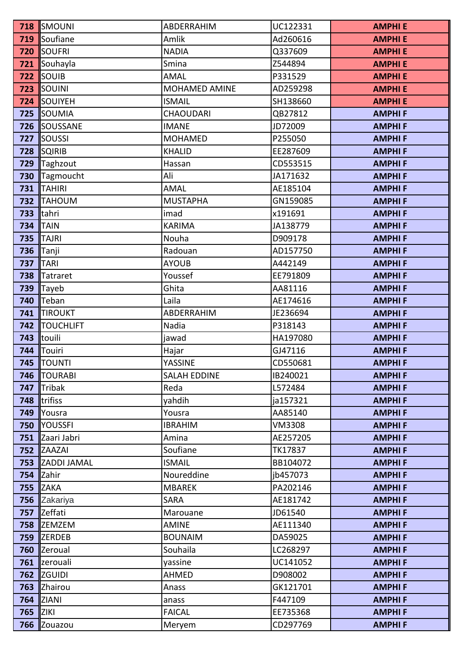|                 | <b>718  SMOUNI</b>     | <b>ABDERRAHIM</b>    | UC122331      | <b>AMPHIE</b> |
|-----------------|------------------------|----------------------|---------------|---------------|
|                 | 719 Soufiane           | Amlik                | Ad260616      | <b>AMPHIE</b> |
|                 | <b>720 SOUFRI</b>      | <b>NADIA</b>         | Q337609       | <b>AMPHIE</b> |
|                 | 721 Souhayla           | Smina                | Z544894       | <b>AMPHIE</b> |
|                 | <b>722 SOUIB</b>       | <b>AMAL</b>          | P331529       | <b>AMPHIE</b> |
|                 | <b>723 SOUINI</b>      | <b>MOHAMED AMINE</b> | AD259298      | <b>AMPHIE</b> |
|                 | 724 SOUIYEH            | <b>ISMAIL</b>        | SH138660      | <b>AMPHIE</b> |
|                 | 725 SOUMIA             | <b>CHAOUDARI</b>     | QB27812       | <b>AMPHIF</b> |
|                 | <b>726 ISOUSSANE</b>   | <b>IMANE</b>         | JD72009       | <b>AMPHIF</b> |
|                 | <b>727 SOUSSI</b>      | <b>MOHAMED</b>       | P255050       | <b>AMPHIF</b> |
|                 | <b>728 SQIRIB</b>      | <b>KHALID</b>        | EE287609      | <b>AMPHIF</b> |
|                 | 729 Taghzout           | Hassan               | CD553515      | <b>AMPHIF</b> |
|                 | 730 Tagmoucht          | Ali                  | JA171632      | <b>AMPHIF</b> |
|                 | $731$  TAHIRI          | <b>AMAL</b>          | AE185104      | <b>AMPHIF</b> |
|                 | 732 TAHOUM             | <b>MUSTAPHA</b>      | GN159085      | <b>AMPHIF</b> |
|                 | 733 $ $ tahri          | imad                 | x191691       | <b>AMPHIF</b> |
|                 | <b>734 TAIN</b>        | <b>KARIMA</b>        | JA138779      | <b>AMPHIF</b> |
|                 | <b>735 TAJRI</b>       | Nouha                | D909178       | <b>AMPHIF</b> |
|                 | <b>736 Tanji</b>       | Radouan              | AD157750      | <b>AMPHIF</b> |
| <b>737 TARI</b> |                        | <b>AYOUB</b>         | A442149       | <b>AMPHIF</b> |
|                 | 738 Tatraret           | Youssef              | EE791809      | <b>AMPHIF</b> |
|                 | 739 $\vert$ Tayeb      | Ghita                | AA81116       | <b>AMPHIF</b> |
|                 | 740 Teban              | Laila                | AE174616      | <b>AMPHIF</b> |
|                 | <b>741 TIROUKT</b>     | <b>ABDERRAHIM</b>    | JE236694      | <b>AMPHIF</b> |
|                 | <b>742   TOUCHLIFT</b> | Nadia                | P318143       | <b>AMPHIF</b> |
|                 | 743 touili             | jawad                | HA197080      | <b>AMPHIF</b> |
|                 | 744 Touiri             | Hajar                | GJ47116       | <b>AMPHIF</b> |
|                 | <b>745   TOUNTI</b>    | YASSINE              | CD550681      | <b>AMPHIF</b> |
|                 | 746   TOURABI          | <b>SALAH EDDINE</b>  | IB240021      | <b>AMPHIF</b> |
|                 | 747 Tribak             | Reda                 | L572484       | <b>AMPHIF</b> |
| 748             | <b>Itrifiss</b>        | yahdih               | ja157321      | <b>AMPHIF</b> |
|                 | 749 Yousra             | Yousra               | AA85140       | <b>AMPHIF</b> |
|                 | <b>750 I</b> YOUSSFI   | <b>IBRAHIM</b>       | <b>VM3308</b> | <b>AMPHIF</b> |
| 751             | Zaari Jabri            | Amina                | AE257205      | <b>AMPHIF</b> |
|                 | <b>752 ZAAZAI</b>      | Soufiane             | TK17837       | <b>AMPHIF</b> |
|                 | 753 ZADDI JAMAL        | <b>ISMAIL</b>        | BB104072      | <b>AMPHIF</b> |
|                 | $754$ Zahir            | Noureddine           | jb457073      | <b>AMPHIF</b> |
|                 | <b>755 ZAKA</b>        | <b>MBAREK</b>        | PA202146      | <b>AMPHIF</b> |
|                 | 756 Zakariya           | <b>SARA</b>          | AE181742      | <b>AMPHIF</b> |
| 757             | Zeffati                | Marouane             | JD61540       | <b>AMPHIF</b> |
|                 | 758 ZEMZEM             | <b>AMINE</b>         | AE111340      | <b>AMPHIF</b> |
|                 | 759 ZERDEB             | <b>BOUNAIM</b>       | DA59025       | <b>AMPHIF</b> |
| 760             | <b>Zeroual</b>         | Souhaila             | LC268297      | <b>AMPHIF</b> |
|                 | 761  zerouali          | yassine              | UC141052      | <b>AMPHIF</b> |
|                 | <b>762 ZGUIDI</b>      | <b>AHMED</b>         | D908002       | <b>AMPHIF</b> |
|                 | 763 Zhairou            | Anass                | GK121701      | <b>AMPHIF</b> |
|                 | <b>764 ZIANI</b>       | anass                | F447109       | <b>AMPHIF</b> |
| <b>765 ZIKI</b> |                        | <b>FAICAL</b>        | EE735368      | <b>AMPHIF</b> |
| 766             | Zouazou                | Meryem               | CD297769      | <b>AMPHIF</b> |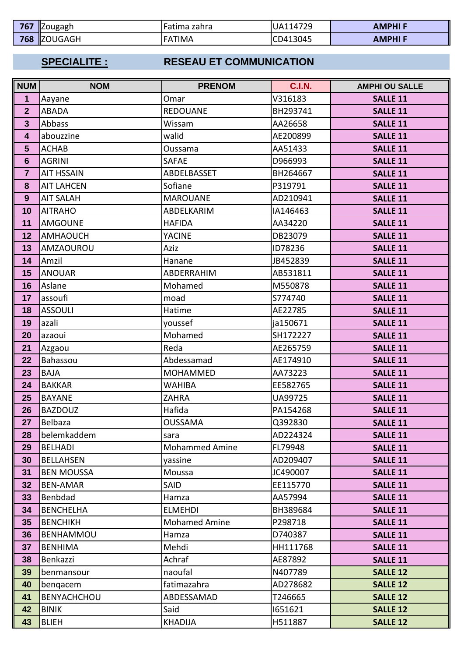| 767 | <b>I</b> Zougagh | Fatima zahra   | UA114729 | AMPHI F |
|-----|------------------|----------------|----------|---------|
| 768 | <b>IZOUGAGH</b>  | TIMA<br>$FA_1$ | CD413045 | AMPHI F |

# **SPECIALITE : RESEAU ET COMMUNICATION**

| <b>NUM</b>              | <b>NOM</b>         | <b>PRENOM</b>         | <b>C.I.N.</b> | <b>AMPHI OU SALLE</b> |
|-------------------------|--------------------|-----------------------|---------------|-----------------------|
| $\mathbf{1}$            | Aayane             | Omar                  | V316183       | <b>SALLE 11</b>       |
| $\overline{2}$          | <b>ABADA</b>       | <b>REDOUANE</b>       | BH293741      | <b>SALLE 11</b>       |
| $\mathbf{3}$            | Abbass             | Wissam                | AA26658       | <b>SALLE 11</b>       |
| $\overline{\mathbf{4}}$ | abouzzine          | walid                 | AE200899      | <b>SALLE 11</b>       |
| $5\phantom{1}$          | <b>ACHAB</b>       | Oussama               | AA51433       | <b>SALLE 11</b>       |
| $6\phantom{1}6$         | <b>AGRINI</b>      | <b>SAFAE</b>          | D966993       | <b>SALLE 11</b>       |
| $\overline{7}$          | <b>AIT HSSAIN</b>  | ABDELBASSET           | BH264667      | <b>SALLE 11</b>       |
| 8                       | <b>AIT LAHCEN</b>  | Sofiane               | P319791       | <b>SALLE 11</b>       |
| 9                       | <b>AIT SALAH</b>   | <b>MAROUANE</b>       | AD210941      | <b>SALLE 11</b>       |
| 10                      | <b>AITRAHO</b>     | ABDELKARIM            | IA146463      | <b>SALLE 11</b>       |
| 11                      | <b>AMGOUNE</b>     | <b>HAFIDA</b>         | AA34220       | <b>SALLE 11</b>       |
| 12                      | <b>AMHAOUCH</b>    | <b>YACINE</b>         | DB23079       | <b>SALLE 11</b>       |
| 13                      | <b>AMZAOUROU</b>   | Aziz                  | ID78236       | <b>SALLE 11</b>       |
| 14                      | Amzil              | Hanane                | JB452839      | <b>SALLE 11</b>       |
| 15                      | <b>ANOUAR</b>      | <b>ABDERRAHIM</b>     | AB531811      | <b>SALLE 11</b>       |
| 16                      | Aslane             | Mohamed               | M550878       | <b>SALLE 11</b>       |
| 17                      | assoufi            | moad                  | S774740       | <b>SALLE 11</b>       |
| 18                      | <b>ASSOULI</b>     | Hatime                | AE22785       | <b>SALLE 11</b>       |
| 19                      | azali              | youssef               | ja150671      | <b>SALLE 11</b>       |
| 20                      | azaoui             | Mohamed               | SH172227      | <b>SALLE 11</b>       |
| 21                      | Azgaou             | Reda                  | AE265759      | <b>SALLE 11</b>       |
| 22                      | Bahassou           | Abdessamad            | AE174910      | <b>SALLE 11</b>       |
| 23                      | <b>BAJA</b>        | <b>MOHAMMED</b>       | AA73223       | <b>SALLE 11</b>       |
| 24                      | <b>BAKKAR</b>      | <b>WAHIBA</b>         | EE582765      | <b>SALLE 11</b>       |
| 25                      | <b>BAYANE</b>      | <b>ZAHRA</b>          | UA99725       | <b>SALLE 11</b>       |
| 26                      | <b>BAZDOUZ</b>     | Hafida                | PA154268      | <b>SALLE 11</b>       |
| 27                      | Belbaza            | <b>OUSSAMA</b>        | Q392830       | <b>SALLE 11</b>       |
| 28                      | belemkaddem        | sara                  | AD224324      | <b>SALLE 11</b>       |
| 29                      | <b>BELHADI</b>     | <b>Mohammed Amine</b> | FL79948       | <b>SALLE 11</b>       |
| 30                      | <b>BELLAHSEN</b>   | yassine               | AD209407      | <b>SALLE 11</b>       |
| 31                      | <b>BEN MOUSSA</b>  | Moussa                | JC490007      | <b>SALLE 11</b>       |
| 32                      | <b>BEN-AMAR</b>    | SAID                  | EE115770      | <b>SALLE 11</b>       |
| 33                      | Benbdad            | Hamza                 | AA57994       | <b>SALLE 11</b>       |
| 34                      | <b>BENCHELHA</b>   | <b>ELMEHDI</b>        | BH389684      | <b>SALLE 11</b>       |
| 35                      | <b>BENCHIKH</b>    | <b>Mohamed Amine</b>  | P298718       | <b>SALLE 11</b>       |
| 36                      | <b>BENHAMMOU</b>   | Hamza                 | D740387       | <b>SALLE 11</b>       |
| 37                      | <b>BENHIMA</b>     | Mehdi                 | HH111768      | <b>SALLE 11</b>       |
| 38                      | Benkazzi           | Achraf                | AE87892       | <b>SALLE 11</b>       |
| 39                      | benmansour         | naoufal               | N407789       | <b>SALLE 12</b>       |
| 40                      | bengacem           | fatimazahra           | AD278682      | <b>SALLE 12</b>       |
| 41                      | <b>BENYACHCHOU</b> | ABDESSAMAD            | T246665       | <b>SALLE 12</b>       |
| 42                      | <b>BINIK</b>       | Said                  | 1651621       | <b>SALLE 12</b>       |
| 43                      | <b>BLIEH</b>       | <b>KHADIJA</b>        | H511887       | <b>SALLE 12</b>       |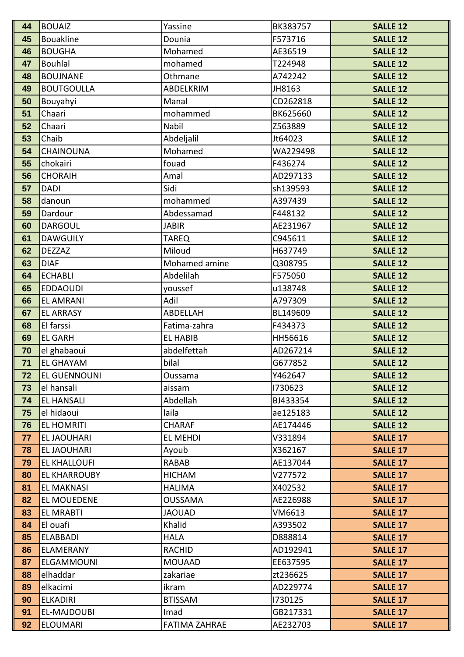| 44 | <b>BOUAIZ</b>       | Yassine              | BK383757 | <b>SALLE 12</b> |
|----|---------------------|----------------------|----------|-----------------|
| 45 | <b>Bouakline</b>    | Dounia               | F573716  | <b>SALLE 12</b> |
| 46 | <b>BOUGHA</b>       | Mohamed              | AE36519  | <b>SALLE 12</b> |
| 47 | <b>Bouhlal</b>      | mohamed              | T224948  | <b>SALLE 12</b> |
| 48 | <b>BOUJNANE</b>     | Othmane              | A742242  | <b>SALLE 12</b> |
| 49 | <b>BOUTGOULLA</b>   | ABDELKRIM            | JH8163   | <b>SALLE 12</b> |
| 50 | Bouyahyi            | Manal                | CD262818 | <b>SALLE 12</b> |
| 51 | Chaari              | mohammed             | BK625660 | <b>SALLE 12</b> |
| 52 | Chaari              | Nabil                | Z563889  | <b>SALLE 12</b> |
| 53 | Chaib               | Abdeljalil           | Jt64023  | <b>SALLE 12</b> |
| 54 | <b>CHAINOUNA</b>    | Mohamed              | WA229498 | <b>SALLE 12</b> |
| 55 | chokairi            | fouad                | F436274  | <b>SALLE 12</b> |
| 56 | <b>CHORAIH</b>      | Amal                 | AD297133 | <b>SALLE 12</b> |
| 57 | <b>DADI</b>         | Sidi                 | sh139593 | <b>SALLE 12</b> |
| 58 | danoun              | mohammed             | A397439  | <b>SALLE 12</b> |
| 59 | Dardour             | Abdessamad           | F448132  | <b>SALLE 12</b> |
| 60 | <b>DARGOUL</b>      | <b>JABIR</b>         | AE231967 | <b>SALLE 12</b> |
| 61 | <b>DAWGUILY</b>     | <b>TAREQ</b>         | C945611  | <b>SALLE 12</b> |
| 62 | <b>DEZZAZ</b>       | Miloud               | H637749  | <b>SALLE 12</b> |
| 63 | <b>DIAF</b>         | Mohamed amine        | Q308795  | <b>SALLE 12</b> |
| 64 | <b>ECHABLI</b>      | Abdelilah            | F575050  | <b>SALLE 12</b> |
| 65 | <b>EDDAOUDI</b>     | youssef              | u138748  | <b>SALLE 12</b> |
| 66 | <b>EL AMRANI</b>    | Adil                 | A797309  | <b>SALLE 12</b> |
| 67 | <b>EL ARRASY</b>    | ABDELLAH             | BL149609 | <b>SALLE 12</b> |
| 68 | El farssi           | Fatima-zahra         | F434373  | <b>SALLE 12</b> |
| 69 | <b>EL GARH</b>      | <b>EL HABIB</b>      | HH56616  | <b>SALLE 12</b> |
| 70 | el ghabaoui         | abdelfettah          | AD267214 | <b>SALLE 12</b> |
| 71 | <b>EL GHAYAM</b>    | bilal                | G677852  | <b>SALLE 12</b> |
| 72 | <b>EL GUENNOUNI</b> | Oussama              | Y462647  | <b>SALLE 12</b> |
| 73 | el hansali          | aissam               | 1730623  | <b>SALLE 12</b> |
| 74 | <b>EL HANSALI</b>   | Abdellah             | BJ433354 | <b>SALLE 12</b> |
| 75 | el hidaoui          | laila                | ae125183 | <b>SALLE 12</b> |
| 76 | <b>EL HOMRITI</b>   | <b>CHARAF</b>        | AE174446 | <b>SALLE 12</b> |
| 77 | EL JAOUHARI         | EL MEHDI             | V331894  | <b>SALLE 17</b> |
| 78 | <b>EL JAOUHARI</b>  | Ayoub                | X362167  | <b>SALLE 17</b> |
| 79 | <b>EL KHALLOUFI</b> | RABAB                | AE137044 | <b>SALLE 17</b> |
| 80 | <b>EL KHARROUBY</b> | <b>HICHAM</b>        | V277572  | <b>SALLE 17</b> |
| 81 | <b>EL MAKNASI</b>   | <b>HALIMA</b>        | X402532  | <b>SALLE 17</b> |
| 82 | <b>EL MOUEDENE</b>  | <b>OUSSAMA</b>       | AE226988 | <b>SALLE 17</b> |
| 83 | <b>EL MRABTI</b>    | <b>JAOUAD</b>        | VM6613   | <b>SALLE 17</b> |
| 84 | El ouafi            | Khalid               | A393502  | <b>SALLE 17</b> |
| 85 | <b>ELABBADI</b>     | <b>HALA</b>          | D888814  | <b>SALLE 17</b> |
| 86 | <b>ELAMERANY</b>    | <b>RACHID</b>        | AD192941 | <b>SALLE 17</b> |
| 87 | ELGAMMOUNI          | <b>MOUAAD</b>        | EE637595 | <b>SALLE 17</b> |
| 88 | elhaddar            | zakariae             | zt236625 | <b>SALLE 17</b> |
| 89 | elkacimi            | ikram                | AD229774 | <b>SALLE 17</b> |
| 90 | <b>ELKADIRI</b>     | <b>BTISSAM</b>       | 1730125  | <b>SALLE 17</b> |
| 91 | <b>EL-MAJDOUBI</b>  | Imad                 | GB217331 | <b>SALLE 17</b> |
| 92 | <b>ELOUMARI</b>     | <b>FATIMA ZAHRAE</b> | AE232703 | <b>SALLE 17</b> |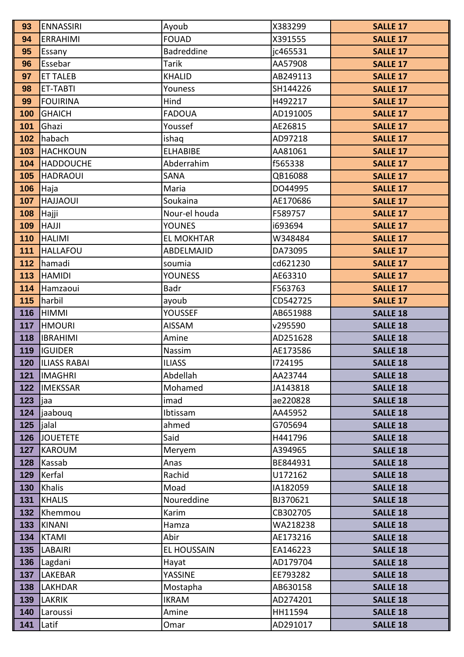| 93         | <b>ENNASSIRI</b>          | Ayoub                    | X383299              | <b>SALLE 17</b>                    |
|------------|---------------------------|--------------------------|----------------------|------------------------------------|
| 94         | <b>ERRAHIMI</b>           | <b>FOUAD</b>             | X391555              | <b>SALLE 17</b>                    |
| 95         | Essany                    | <b>Badreddine</b>        | jc465531             | <b>SALLE 17</b>                    |
| 96         | Essebar                   | Tarik                    | AA57908              | <b>SALLE 17</b>                    |
| 97         | <b>ET TALEB</b>           | <b>KHALID</b>            | AB249113             | <b>SALLE 17</b>                    |
| 98         | ET-TABTI                  | Youness                  | SH144226             | <b>SALLE 17</b>                    |
| 99         | <b>FOUIRINA</b>           | Hind                     | H492217              | <b>SALLE 17</b>                    |
| 100        | <b>GHAICH</b>             | <b>FADOUA</b>            | AD191005             | <b>SALLE 17</b>                    |
| 101        | Ghazi                     | Youssef                  | AE26815              | <b>SALLE 17</b>                    |
| 102        | habach                    | ishaq                    | AD97218              | <b>SALLE 17</b>                    |
| 103        | <b>HACHKOUN</b>           | <b>ELHABIBE</b>          | AA81061              | <b>SALLE 17</b>                    |
| 104        | <b>HADDOUCHE</b>          | Abderrahim               | f565338              | <b>SALLE 17</b>                    |
| 105        | <b>HADRAOUI</b>           | SANA                     | QB16088              | <b>SALLE 17</b>                    |
| 106        | Haja                      | Maria                    | DO44995              | <b>SALLE 17</b>                    |
| 107        | <b>HAJJAOUI</b>           | Soukaina                 | AE170686             | <b>SALLE 17</b>                    |
| 108        | Hajji                     | Nour-el houda            | F589757              | <b>SALLE 17</b>                    |
| 109        | <b>HAJJI</b>              | <b>YOUNES</b>            | i693694              | <b>SALLE 17</b>                    |
| 110        | <b>HALIMI</b>             | <b>EL MOKHTAR</b>        | W348484              | <b>SALLE 17</b>                    |
| 111        | <b>HALLAFOU</b>           | <b>ABDELMAJID</b>        | DA73095              | <b>SALLE 17</b>                    |
| 112        | hamadi                    | soumia                   | cd621230             | <b>SALLE 17</b>                    |
| 113        | <b>HAMIDI</b>             | <b>YOUNESS</b>           | AE63310              | <b>SALLE 17</b>                    |
| 114        | Hamzaoui                  | <b>Badr</b>              | F563763              | <b>SALLE 17</b>                    |
| 115        | harbil                    | ayoub                    | CD542725             | <b>SALLE 17</b>                    |
| 116        | <b>HIMMI</b>              | <b>YOUSSEF</b>           | AB651988             | <b>SALLE 18</b>                    |
| 117        | <b>HMOURI</b>             | <b>AISSAM</b>            | v295590              | <b>SALLE 18</b>                    |
| 118        | <b>IBRAHIMI</b>           | Amine                    | AD251628             | <b>SALLE 18</b>                    |
| 119        | <b>IGUIDER</b>            | Nassim                   | AE173586             | <b>SALLE 18</b>                    |
| 120        | <b>ILIASS RABAI</b>       | <b>ILIASS</b>            | 1724195              | <b>SALLE 18</b>                    |
| 121        | <b>IMAGHRI</b>            | Abdellah                 | AA23744              | <b>SALLE 18</b>                    |
| 122        | <b>IMEKSSAR</b>           | Mohamed                  | JA143818             | <b>SALLE 18</b>                    |
| 123        | jaa                       | imad                     | ae220828             | <b>SALLE 18</b>                    |
| 124        | jaaboug                   | Ibtissam                 | AA45952              | <b>SALLE 18</b>                    |
| 125        | jalal                     | ahmed                    | G705694              | <b>SALLE 18</b>                    |
| 126        | <b>JOUETETE</b>           | Said                     | H441796              | <b>SALLE 18</b>                    |
| 127        | <b>KAROUM</b>             | Meryem                   | A394965              | <b>SALLE 18</b>                    |
| 128        | Kassab                    | Anas                     | BE844931             | <b>SALLE 18</b>                    |
| 129        | Kerfal                    | Rachid                   | U172162              | <b>SALLE 18</b>                    |
| 130        | Khalis                    | Moad                     | IA182059             | <b>SALLE 18</b>                    |
| 131        | <b>KHALIS</b>             | Noureddine               | BJ370621             | <b>SALLE 18</b>                    |
| 132        | Khemmou                   | Karim                    | CB302705             | <b>SALLE 18</b>                    |
| 133        | <b>KINANI</b>             | Hamza                    | WA218238             | <b>SALLE 18</b>                    |
| 134        | <b>KTAMI</b>              | Abir                     | AE173216             | <b>SALLE 18</b>                    |
| 135        | <b>LABAIRI</b>            | <b>EL HOUSSAIN</b>       | EA146223             | <b>SALLE 18</b>                    |
| 136        | Lagdani                   | Hayat                    | AD179704             | <b>SALLE 18</b>                    |
| 137<br>138 | LAKEBAR<br><b>LAKHDAR</b> | YASSINE                  | EE793282<br>AB630158 | <b>SALLE 18</b>                    |
| 139        | <b>LAKRIK</b>             | Mostapha<br><b>IKRAM</b> | AD274201             | <b>SALLE 18</b><br><b>SALLE 18</b> |
| 140        |                           |                          | HH11594              |                                    |
|            | Laroussi                  | Amine                    |                      | <b>SALLE 18</b>                    |
| 141        | Latif                     | Omar                     | AD291017             | <b>SALLE 18</b>                    |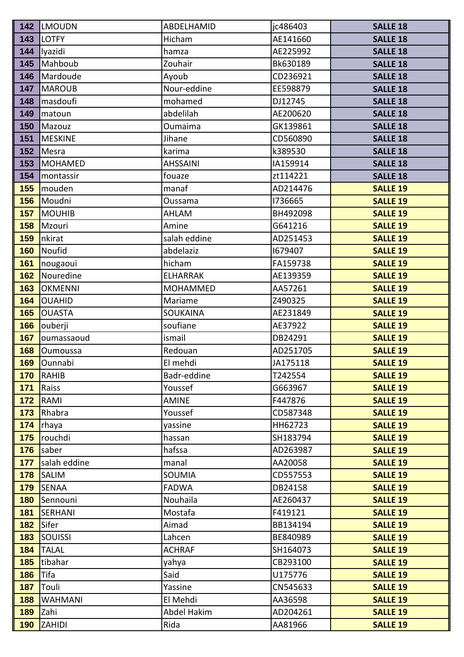| 142        | <b>LMOUDN</b>           | ABDELHAMID              | jc486403             | <b>SALLE 18</b> |
|------------|-------------------------|-------------------------|----------------------|-----------------|
| 143        | <b>LOTFY</b>            | Hicham                  | AE141660             | <b>SALLE 18</b> |
| 144        | lyazidi                 | hamza                   | AE225992             | <b>SALLE 18</b> |
| 145        | Mahboub                 | Zouhair                 | Bk630189             | <b>SALLE 18</b> |
| 146        | Mardoude                | Ayoub                   | CD236921             | <b>SALLE 18</b> |
| 147        | <b>MAROUB</b>           | Nour-eddine             | EE598879             | <b>SALLE 18</b> |
| 148        | masdoufi                | mohamed                 | DJ12745              | <b>SALLE 18</b> |
| 149        | matoun                  | abdelilah               | AE200620             | <b>SALLE 18</b> |
| 150        | Mazouz                  | <b>Oumaima</b>          | GK139861             | <b>SALLE 18</b> |
| 151        | <b>MESKINE</b>          | Jihane                  | CD560890             | <b>SALLE 18</b> |
| 152        | Mesra                   | karima                  | k389530              | <b>SALLE 18</b> |
| 153        | <b>MOHAMED</b>          | <b>AHSSAINI</b>         | IA159914             | <b>SALLE 18</b> |
| 154        | montassir               | fouaze                  | zt114221             | <b>SALLE 18</b> |
| 155        | mouden                  | manaf                   | AD214476             | <b>SALLE 19</b> |
| 156        | Moudni                  | Oussama                 | 1736665              | <b>SALLE 19</b> |
| 157        | <b>MOUHIB</b>           | AHLAM                   | BH492098             | <b>SALLE 19</b> |
| 158        | Mzouri                  | Amine                   | G641216              | <b>SALLE 19</b> |
| 159        | nkirat                  | salah eddine            | AD251453             | <b>SALLE 19</b> |
| 160        | Noufid                  | abdelaziz               | 1679407              | <b>SALLE 19</b> |
| 161        | nougaoui                | hicham                  | FA159738             | <b>SALLE 19</b> |
| 162        | Nouredine               | <b>ELHARRAK</b>         | AE139359             | <b>SALLE 19</b> |
| 163        | <b>OKMENNI</b>          | <b>MOHAMMED</b>         | AA57261              | <b>SALLE 19</b> |
| 164        | <b>OUAHID</b>           | Mariame                 | Z490325              | <b>SALLE 19</b> |
| 165        | <b>OUASTA</b>           | SOUKAINA                | AE231849             | <b>SALLE 19</b> |
| 166        | ouberji                 | soufiane                | AE37922              | <b>SALLE 19</b> |
| 167        | oumassaoud              | ismail                  | DB24291              | <b>SALLE 19</b> |
| 168        | <b>Oumoussa</b>         | Redouan                 | AD251705             | <b>SALLE 19</b> |
| 169        | Ounnabi                 | El mehdi                | JA175118             | <b>SALLE 19</b> |
| 170        | RAHIB                   | Badr-eddine             | T242554              | <b>SALLE 19</b> |
| 171        | Raiss                   | Youssef                 | G663967              | <b>SALLE 19</b> |
| 172        | RAMI                    | <b>AMINE</b>            | F447876              | <b>SALLE 19</b> |
| 173        | Rhabra                  | Youssef                 | CD587348             | <b>SALLE 19</b> |
| 174        | rhaya                   | vassine                 | HH62723              | <b>SALLE 19</b> |
| 175        | rouchdi                 | hassan                  | SH183794             | <b>SALLE 19</b> |
| 176        | saber                   | hafssa                  | AD263987             | <b>SALLE 19</b> |
| 177        | salah eddine            | manal                   | AA20058              | <b>SALLE 19</b> |
| 178        | <b>SALIM</b>            | <b>SOUMIA</b>           | CD557553             | <b>SALLE 19</b> |
| 179        | <b>SENAA</b>            | <b>FADWA</b>            | DB24158              | <b>SALLE 19</b> |
| 180        | Sennouni                | Nouhaila                | AE260437             | <b>SALLE 19</b> |
| 181        | SERHANI                 | Mostafa                 | F419121              | <b>SALLE 19</b> |
| 182        | Sifer                   | Aimad                   | BB134194             | <b>SALLE 19</b> |
| 183        | SOUISSI                 | Lahcen                  | BE840989             | <b>SALLE 19</b> |
| 184<br>185 | <b>TALAL</b><br>tibahar | <b>ACHRAF</b>           | SH164073<br>CB293100 | <b>SALLE 19</b> |
|            |                         | yahya                   |                      | <b>SALLE 19</b> |
| 186        | Tifa                    | Said                    | U175776<br>CN545633  | <b>SALLE 19</b> |
| 187        | Touli                   | Yassine                 |                      | <b>SALLE 19</b> |
| 188        | <b>WAHMANI</b>          | El Mehdi<br>Abdel Hakim | AA36598              | <b>SALLE 19</b> |
| 189        | Zahi                    |                         | AD204261             | <b>SALLE 19</b> |
| 190        | <b>ZAHIDI</b>           | Rida                    | AA81966              | <b>SALLE 19</b> |